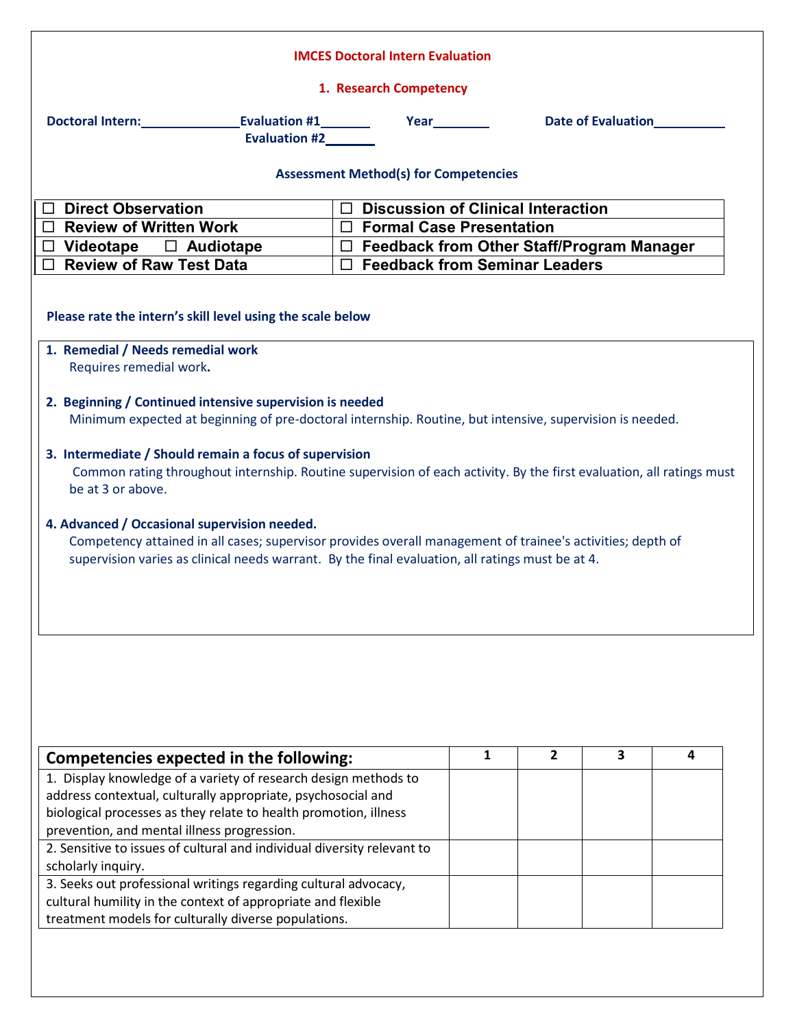|                                                                                                                                                                                                                                                                | <b>IMCES Doctoral Intern Evaluation</b>          |              |                    |   |
|----------------------------------------------------------------------------------------------------------------------------------------------------------------------------------------------------------------------------------------------------------------|--------------------------------------------------|--------------|--------------------|---|
|                                                                                                                                                                                                                                                                | 1. Research Competency                           |              |                    |   |
| Doctoral Intern: Evaluation #1 Year<br>Evaluation #2________                                                                                                                                                                                                   |                                                  |              | Date of Evaluation |   |
|                                                                                                                                                                                                                                                                | <b>Assessment Method(s) for Competencies</b>     |              |                    |   |
| $\Box$ Direct Observation                                                                                                                                                                                                                                      | $\Box$ Discussion of Clinical Interaction        |              |                    |   |
| $\Box$ Review of Written Work                                                                                                                                                                                                                                  | $\Box$ Formal Case Presentation                  |              |                    |   |
| $\Box$ Videotape $\Box$ Audiotape                                                                                                                                                                                                                              | $\Box$ Feedback from Other Staff/Program Manager |              |                    |   |
| $\Box$ Review of Raw Test Data                                                                                                                                                                                                                                 | □ Feedback from Seminar Leaders                  |              |                    |   |
| Please rate the intern's skill level using the scale below<br>1. Remedial / Needs remedial work<br>Requires remedial work.                                                                                                                                     |                                                  |              |                    |   |
| 2. Beginning / Continued intensive supervision is needed<br>Minimum expected at beginning of pre-doctoral internship. Routine, but intensive, supervision is needed.                                                                                           |                                                  |              |                    |   |
| 3. Intermediate / Should remain a focus of supervision<br>Common rating throughout internship. Routine supervision of each activity. By the first evaluation, all ratings must<br>be at 3 or above.                                                            |                                                  |              |                    |   |
| 4. Advanced / Occasional supervision needed.<br>Competency attained in all cases; supervisor provides overall management of trainee's activities; depth of<br>supervision varies as clinical needs warrant. By the final evaluation, all ratings must be at 4. |                                                  |              |                    |   |
|                                                                                                                                                                                                                                                                |                                                  |              |                    |   |
| Competencies expected in the following:                                                                                                                                                                                                                        | $\mathbf{1}$                                     | $\mathbf{2}$ | 3                  | 4 |
| 1. Display knowledge of a variety of research design methods to                                                                                                                                                                                                |                                                  |              |                    |   |
| address contextual, culturally appropriate, psychosocial and                                                                                                                                                                                                   |                                                  |              |                    |   |
| biological processes as they relate to health promotion, illness                                                                                                                                                                                               |                                                  |              |                    |   |
| prevention, and mental illness progression.<br>2. Sensitive to issues of cultural and individual diversity relevant to                                                                                                                                         |                                                  |              |                    |   |
|                                                                                                                                                                                                                                                                |                                                  |              |                    |   |
| scholarly inquiry.                                                                                                                                                                                                                                             |                                                  |              |                    |   |
| 3. Seeks out professional writings regarding cultural advocacy,<br>cultural humility in the context of appropriate and flexible                                                                                                                                |                                                  |              |                    |   |
| treatment models for culturally diverse populations.                                                                                                                                                                                                           |                                                  |              |                    |   |
|                                                                                                                                                                                                                                                                |                                                  |              |                    |   |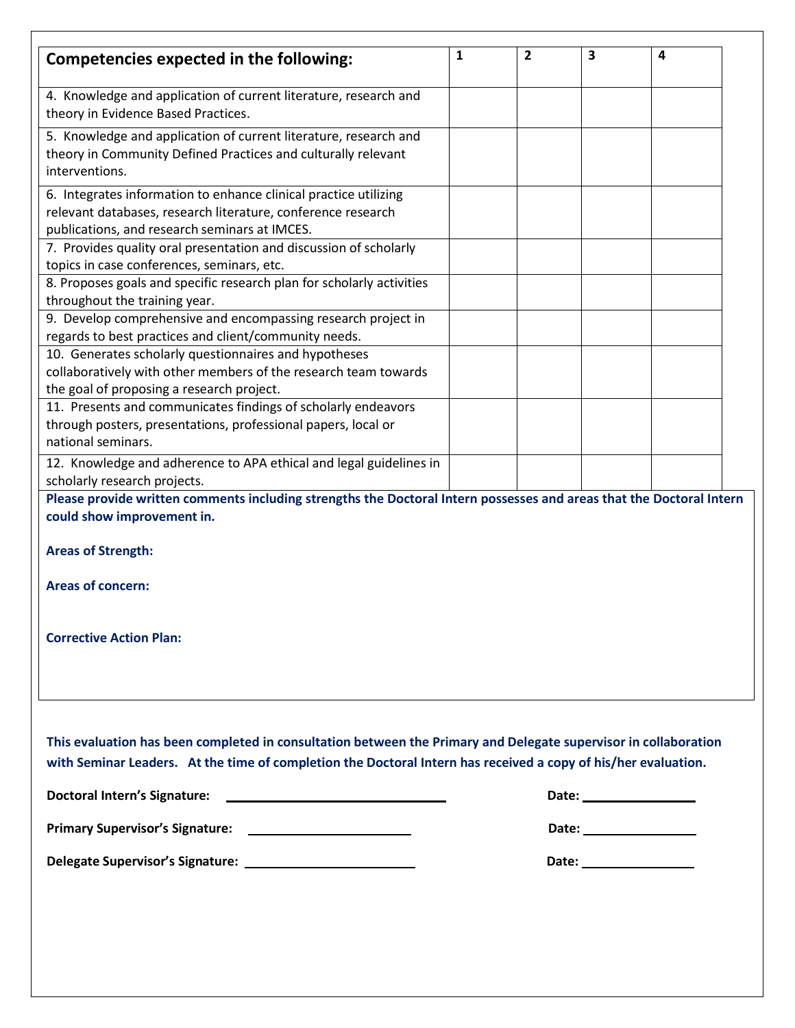| <b>Competencies expected in the following:</b>                                                                                                                                                                                    | 1 | $\mathbf{2}$ | 3 | 4 |
|-----------------------------------------------------------------------------------------------------------------------------------------------------------------------------------------------------------------------------------|---|--------------|---|---|
| 4. Knowledge and application of current literature, research and<br>theory in Evidence Based Practices.                                                                                                                           |   |              |   |   |
| 5. Knowledge and application of current literature, research and<br>theory in Community Defined Practices and culturally relevant<br>interventions.                                                                               |   |              |   |   |
| 6. Integrates information to enhance clinical practice utilizing<br>relevant databases, research literature, conference research<br>publications, and research seminars at IMCES.                                                 |   |              |   |   |
| 7. Provides quality oral presentation and discussion of scholarly<br>topics in case conferences, seminars, etc.                                                                                                                   |   |              |   |   |
| 8. Proposes goals and specific research plan for scholarly activities<br>throughout the training year.<br>9. Develop comprehensive and encompassing research project in                                                           |   |              |   |   |
| regards to best practices and client/community needs.<br>10. Generates scholarly questionnaires and hypotheses<br>collaboratively with other members of the research team towards<br>the goal of proposing a research project.    |   |              |   |   |
| 11. Presents and communicates findings of scholarly endeavors<br>through posters, presentations, professional papers, local or<br>national seminars.                                                                              |   |              |   |   |
| 12. Knowledge and adherence to APA ethical and legal guidelines in<br>scholarly research projects.                                                                                                                                |   |              |   |   |
| Please provide written comments including strengths the Doctoral Intern possesses and areas that the Doctoral Intern<br>could show improvement in.                                                                                |   |              |   |   |
| <b>Areas of Strength:</b>                                                                                                                                                                                                         |   |              |   |   |
| <b>Areas of concern:</b>                                                                                                                                                                                                          |   |              |   |   |
| <b>Corrective Action Plan:</b>                                                                                                                                                                                                    |   |              |   |   |
| This evaluation has been completed in consultation between the Primary and Delegate supervisor in collaboration<br>with Seminar Leaders. At the time of completion the Doctoral Intern has received a copy of his/her evaluation. |   |              |   |   |
| <b>Doctoral Intern's Signature:</b>                                                                                                                                                                                               |   |              |   |   |
|                                                                                                                                                                                                                                   |   |              |   |   |
| <b>Primary Supervisor's Signature:</b>                                                                                                                                                                                            |   |              |   |   |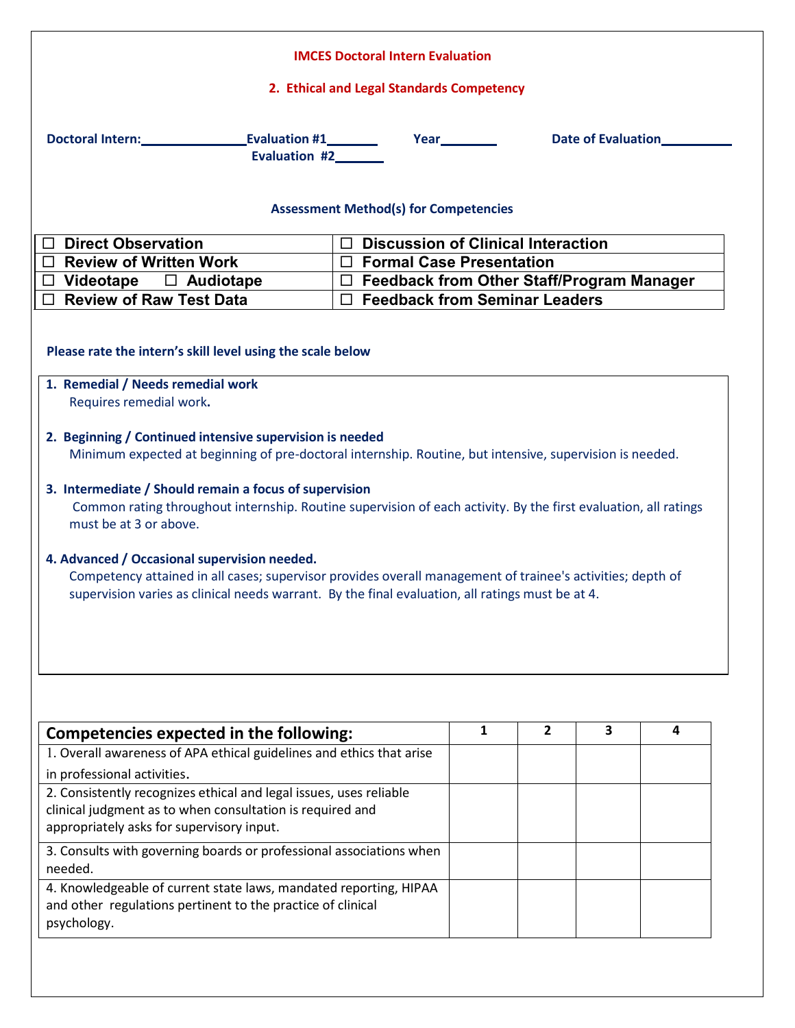|                                                                                                                                                                                                                                                                                                  | <b>IMCES Doctoral Intern Evaluation</b>                                                                                                                                                                                                                                                                                                   |  |  |  |  |  |
|--------------------------------------------------------------------------------------------------------------------------------------------------------------------------------------------------------------------------------------------------------------------------------------------------|-------------------------------------------------------------------------------------------------------------------------------------------------------------------------------------------------------------------------------------------------------------------------------------------------------------------------------------------|--|--|--|--|--|
|                                                                                                                                                                                                                                                                                                  | 2. Ethical and Legal Standards Competency                                                                                                                                                                                                                                                                                                 |  |  |  |  |  |
| Doctoral Intern:<br><u>Doctoral Intern:</u><br><b>Evaluation #1</b> Vear<br>Evaluation #2________                                                                                                                                                                                                | <b>Date of Evaluation</b>                                                                                                                                                                                                                                                                                                                 |  |  |  |  |  |
|                                                                                                                                                                                                                                                                                                  | <b>Assessment Method(s) for Competencies</b>                                                                                                                                                                                                                                                                                              |  |  |  |  |  |
| □ Direct Observation                                                                                                                                                                                                                                                                             | $\Box$ Discussion of Clinical Interaction                                                                                                                                                                                                                                                                                                 |  |  |  |  |  |
| $\Box$ Review of Written Work<br>$\Box$ Formal Case Presentation                                                                                                                                                                                                                                 |                                                                                                                                                                                                                                                                                                                                           |  |  |  |  |  |
| $\Box$ Videotape $\Box$ Audiotape                                                                                                                                                                                                                                                                | □ Feedback from Other Staff/Program Manager                                                                                                                                                                                                                                                                                               |  |  |  |  |  |
| $\Box$ Review of Raw Test Data                                                                                                                                                                                                                                                                   | $\Box$ Feedback from Seminar Leaders                                                                                                                                                                                                                                                                                                      |  |  |  |  |  |
| 2. Beginning / Continued intensive supervision is needed<br>3. Intermediate / Should remain a focus of supervision<br>must be at 3 or above.<br>4. Advanced / Occasional supervision needed.<br>supervision varies as clinical needs warrant. By the final evaluation, all ratings must be at 4. | Minimum expected at beginning of pre-doctoral internship. Routine, but intensive, supervision is needed.<br>Common rating throughout internship. Routine supervision of each activity. By the first evaluation, all ratings<br>Competency attained in all cases; supervisor provides overall management of trainee's activities; depth of |  |  |  |  |  |
| Competencies expected in the following:                                                                                                                                                                                                                                                          | 3<br>1<br>$\overline{2}$<br>4                                                                                                                                                                                                                                                                                                             |  |  |  |  |  |
| 1. Overall awareness of APA ethical guidelines and ethics that arise                                                                                                                                                                                                                             |                                                                                                                                                                                                                                                                                                                                           |  |  |  |  |  |
| in professional activities.                                                                                                                                                                                                                                                                      |                                                                                                                                                                                                                                                                                                                                           |  |  |  |  |  |
| 2. Consistently recognizes ethical and legal issues, uses reliable<br>clinical judgment as to when consultation is required and<br>appropriately asks for supervisory input.                                                                                                                     |                                                                                                                                                                                                                                                                                                                                           |  |  |  |  |  |
| 3. Consults with governing boards or professional associations when<br>needed.                                                                                                                                                                                                                   |                                                                                                                                                                                                                                                                                                                                           |  |  |  |  |  |

4. Knowledgeable of current state laws, mandated reporting, HIPAA and other regulations pertinent to the practice of clinical psychology.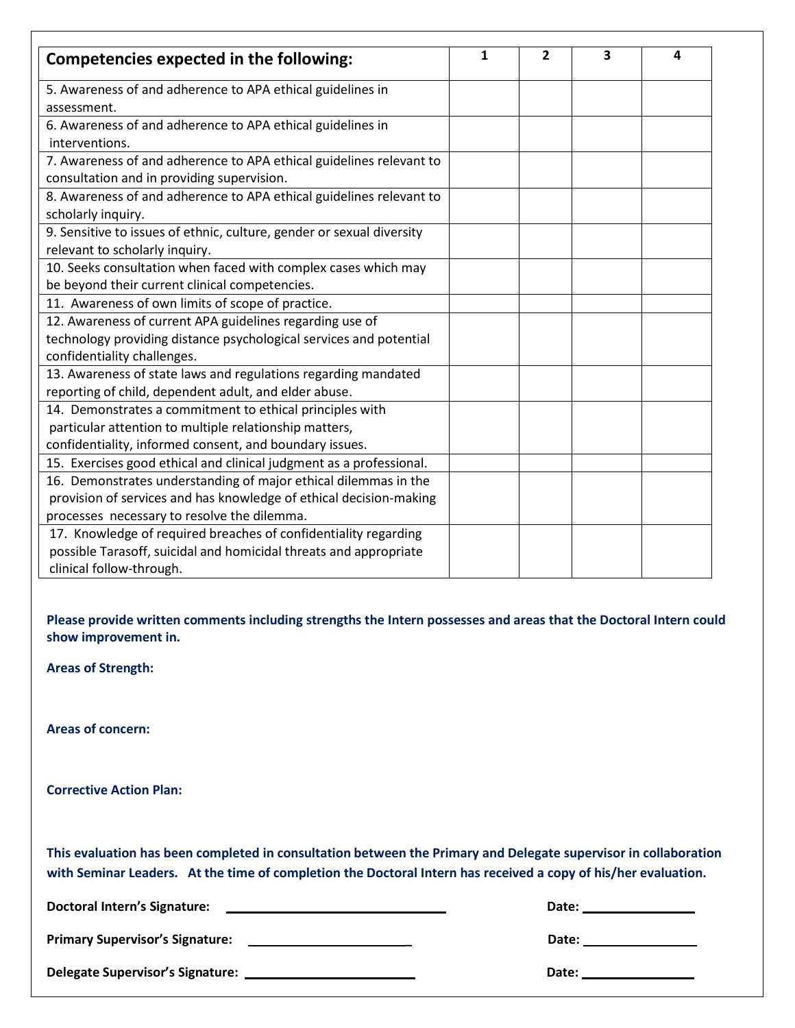| <b>Competencies expected in the following:</b>                        | 1 | $\overline{2}$ | 3 | 4 |
|-----------------------------------------------------------------------|---|----------------|---|---|
| 5. Awareness of and adherence to APA ethical guidelines in            |   |                |   |   |
| assessment.                                                           |   |                |   |   |
| 6. Awareness of and adherence to APA ethical guidelines in            |   |                |   |   |
| interventions.                                                        |   |                |   |   |
| 7. Awareness of and adherence to APA ethical guidelines relevant to   |   |                |   |   |
| consultation and in providing supervision.                            |   |                |   |   |
| 8. Awareness of and adherence to APA ethical guidelines relevant to   |   |                |   |   |
| scholarly inquiry.                                                    |   |                |   |   |
| 9. Sensitive to issues of ethnic, culture, gender or sexual diversity |   |                |   |   |
| relevant to scholarly inquiry.                                        |   |                |   |   |
| 10. Seeks consultation when faced with complex cases which may        |   |                |   |   |
| be beyond their current clinical competencies.                        |   |                |   |   |
| 11. Awareness of own limits of scope of practice.                     |   |                |   |   |
| 12. Awareness of current APA guidelines regarding use of              |   |                |   |   |
| technology providing distance psychological services and potential    |   |                |   |   |
| confidentiality challenges.                                           |   |                |   |   |
| 13. Awareness of state laws and regulations regarding mandated        |   |                |   |   |
| reporting of child, dependent adult, and elder abuse.                 |   |                |   |   |
| 14. Demonstrates a commitment to ethical principles with              |   |                |   |   |
| particular attention to multiple relationship matters,                |   |                |   |   |
| confidentiality, informed consent, and boundary issues.               |   |                |   |   |
| 15. Exercises good ethical and clinical judgment as a professional.   |   |                |   |   |
| 16. Demonstrates understanding of major ethical dilemmas in the       |   |                |   |   |
| provision of services and has knowledge of ethical decision-making    |   |                |   |   |
| processes necessary to resolve the dilemma.                           |   |                |   |   |
| 17. Knowledge of required breaches of confidentiality regarding       |   |                |   |   |
| possible Tarasoff, suicidal and homicidal threats and appropriate     |   |                |   |   |
| clinical follow-through.                                              |   |                |   |   |

Please provide written comments including strengths the Intern possesses and areas that the Doctoral Intern could **show improvement in.**

**Areas of Strength:** 

**Areas of concern:** 

**Corrective Action Plan:**

**This evaluation has been completed in consultation between the Primary and Delegate supervisor in collaboration with Seminar Leaders. At the time of completion the Doctoral Intern has received a copy of his/her evaluation.**

**Doctoral Intern's Signature: Date:**

**Primary Supervisor's Signature: \_ Date:**

**Delegate Supervisor's Signature: Date:**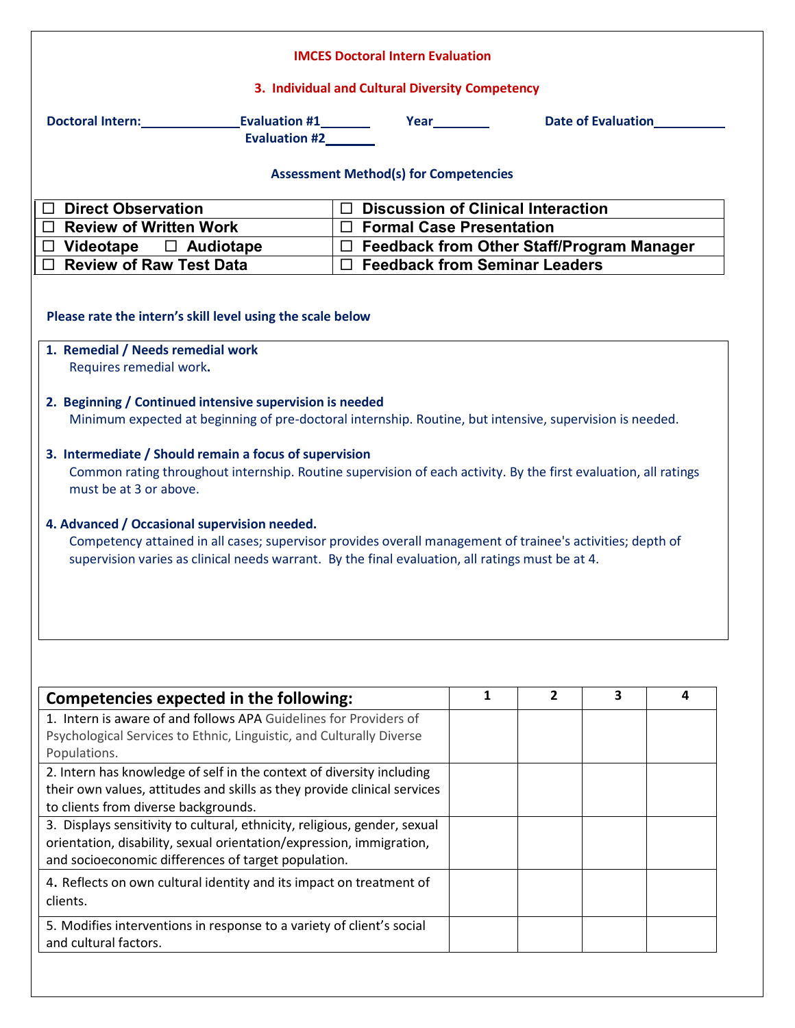|                                                                                                                                                                                                                                                                                                                                                                                                                                                                       | <b>IMCES Doctoral Intern Evaluation</b>             |              |                |                    |   |
|-----------------------------------------------------------------------------------------------------------------------------------------------------------------------------------------------------------------------------------------------------------------------------------------------------------------------------------------------------------------------------------------------------------------------------------------------------------------------|-----------------------------------------------------|--------------|----------------|--------------------|---|
|                                                                                                                                                                                                                                                                                                                                                                                                                                                                       | 3. Individual and Cultural Diversity Competency     |              |                |                    |   |
| Doctoral Intern:<br><u>Doctoral Intern:</u><br>Evaluation #2________                                                                                                                                                                                                                                                                                                                                                                                                  | <b>Evaluation #1</b> Mear                           |              |                | Date of Evaluation |   |
|                                                                                                                                                                                                                                                                                                                                                                                                                                                                       | <b>Assessment Method(s) for Competencies</b>        |              |                |                    |   |
| □ Direct Observation                                                                                                                                                                                                                                                                                                                                                                                                                                                  | <b>Discussion of Clinical Interaction</b><br>$\Box$ |              |                |                    |   |
| $\Box$ Review of Written Work                                                                                                                                                                                                                                                                                                                                                                                                                                         | $\Box$ Formal Case Presentation                     |              |                |                    |   |
| $\Box$ Videotape $\Box$ Audiotape                                                                                                                                                                                                                                                                                                                                                                                                                                     | $\Box$ Feedback from Other Staff/Program Manager    |              |                |                    |   |
| $\Box$ Review of Raw Test Data                                                                                                                                                                                                                                                                                                                                                                                                                                        | $\Box$ Feedback from Seminar Leaders                |              |                |                    |   |
| Please rate the intern's skill level using the scale below<br>1. Remedial / Needs remedial work<br>Requires remedial work.                                                                                                                                                                                                                                                                                                                                            |                                                     |              |                |                    |   |
| 2. Beginning / Continued intensive supervision is needed<br>Minimum expected at beginning of pre-doctoral internship. Routine, but intensive, supervision is needed.                                                                                                                                                                                                                                                                                                  |                                                     |              |                |                    |   |
| 3. Intermediate / Should remain a focus of supervision<br>Common rating throughout internship. Routine supervision of each activity. By the first evaluation, all ratings<br>must be at 3 or above.<br>4. Advanced / Occasional supervision needed.<br>Competency attained in all cases; supervisor provides overall management of trainee's activities; depth of<br>supervision varies as clinical needs warrant. By the final evaluation, all ratings must be at 4. |                                                     |              |                |                    |   |
| <b>Competencies expected in the following:</b>                                                                                                                                                                                                                                                                                                                                                                                                                        |                                                     | $\mathbf{1}$ | $\overline{2}$ | 3                  | 4 |
| 1. Intern is aware of and follows APA Guidelines for Providers of<br>Psychological Services to Ethnic, Linguistic, and Culturally Diverse<br>Populations.                                                                                                                                                                                                                                                                                                             |                                                     |              |                |                    |   |
| 2. Intern has knowledge of self in the context of diversity including<br>their own values, attitudes and skills as they provide clinical services<br>to clients from diverse backgrounds.                                                                                                                                                                                                                                                                             |                                                     |              |                |                    |   |
| 3. Displays sensitivity to cultural, ethnicity, religious, gender, sexual<br>orientation, disability, sexual orientation/expression, immigration,<br>and socioeconomic differences of target population.                                                                                                                                                                                                                                                              |                                                     |              |                |                    |   |
| 4. Reflects on own cultural identity and its impact on treatment of<br>clients.                                                                                                                                                                                                                                                                                                                                                                                       |                                                     |              |                |                    |   |
| 5. Modifies interventions in response to a variety of client's social<br>and cultural factors.                                                                                                                                                                                                                                                                                                                                                                        |                                                     |              |                |                    |   |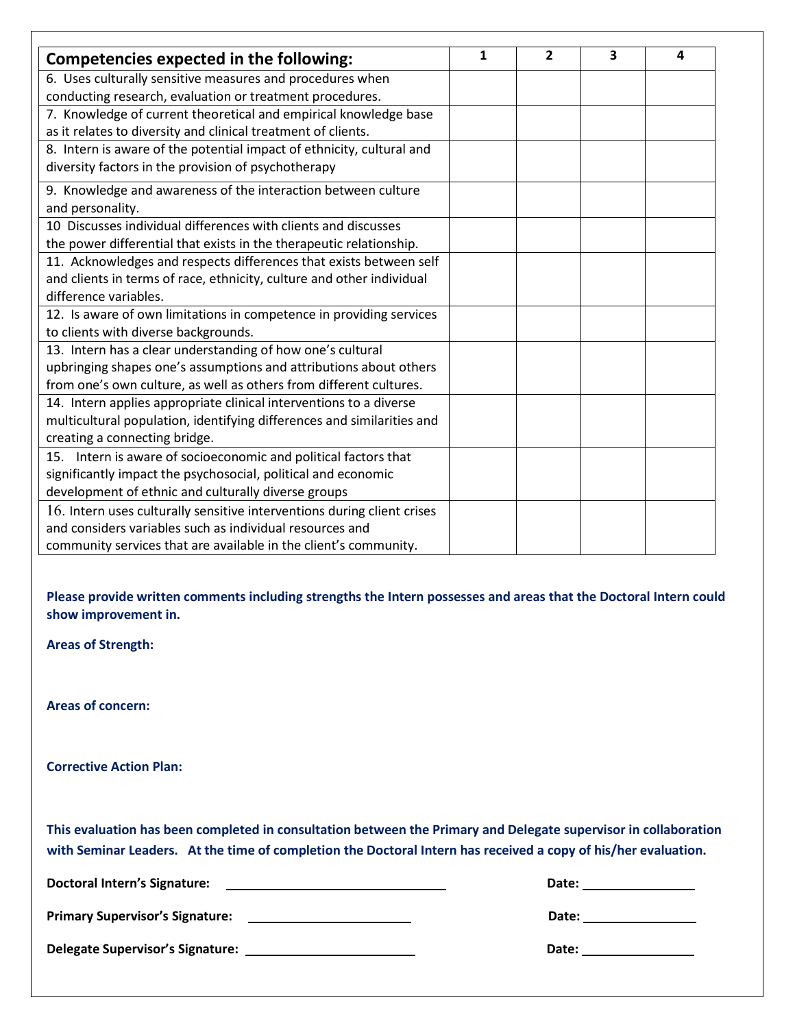| <b>Competencies expected in the following:</b>                          | 1 | $\overline{2}$ | 3 | 4 |
|-------------------------------------------------------------------------|---|----------------|---|---|
| 6. Uses culturally sensitive measures and procedures when               |   |                |   |   |
| conducting research, evaluation or treatment procedures.                |   |                |   |   |
| 7. Knowledge of current theoretical and empirical knowledge base        |   |                |   |   |
| as it relates to diversity and clinical treatment of clients.           |   |                |   |   |
| 8. Intern is aware of the potential impact of ethnicity, cultural and   |   |                |   |   |
| diversity factors in the provision of psychotherapy                     |   |                |   |   |
| 9. Knowledge and awareness of the interaction between culture           |   |                |   |   |
| and personality.                                                        |   |                |   |   |
| 10 Discusses individual differences with clients and discusses          |   |                |   |   |
| the power differential that exists in the therapeutic relationship.     |   |                |   |   |
| 11. Acknowledges and respects differences that exists between self      |   |                |   |   |
| and clients in terms of race, ethnicity, culture and other individual   |   |                |   |   |
| difference variables.                                                   |   |                |   |   |
| 12. Is aware of own limitations in competence in providing services     |   |                |   |   |
| to clients with diverse backgrounds.                                    |   |                |   |   |
| 13. Intern has a clear understanding of how one's cultural              |   |                |   |   |
| upbringing shapes one's assumptions and attributions about others       |   |                |   |   |
| from one's own culture, as well as others from different cultures.      |   |                |   |   |
| 14. Intern applies appropriate clinical interventions to a diverse      |   |                |   |   |
| multicultural population, identifying differences and similarities and  |   |                |   |   |
| creating a connecting bridge.                                           |   |                |   |   |
| 15. Intern is aware of socioeconomic and political factors that         |   |                |   |   |
| significantly impact the psychosocial, political and economic           |   |                |   |   |
| development of ethnic and culturally diverse groups                     |   |                |   |   |
| 16. Intern uses culturally sensitive interventions during client crises |   |                |   |   |
| and considers variables such as individual resources and                |   |                |   |   |
| community services that are available in the client's community.        |   |                |   |   |

Please provide written comments including strengths the Intern possesses and areas that the Doctoral Intern could **show improvement in.**

**Areas of Strength:** 

**Areas of concern:** 

**Corrective Action Plan:**

**This evaluation has been completed in consultation between the Primary and Delegate supervisor in collaboration with Seminar Leaders. At the time of completion the Doctoral Intern has received a copy of his/her evaluation.**

| <b>Doctoral Intern's Signature:</b><br><u> 1988 - Johann John Stone, meil in der staat de ferste gewone de ferste gewone de ferste gewone de ferste gew</u> | Date: ___________________                                             |
|-------------------------------------------------------------------------------------------------------------------------------------------------------------|-----------------------------------------------------------------------|
|                                                                                                                                                             | Date: __________________                                              |
|                                                                                                                                                             | Date:<br><u> 1986 - Johann Stein, mars an Francisco III (b. 1918)</u> |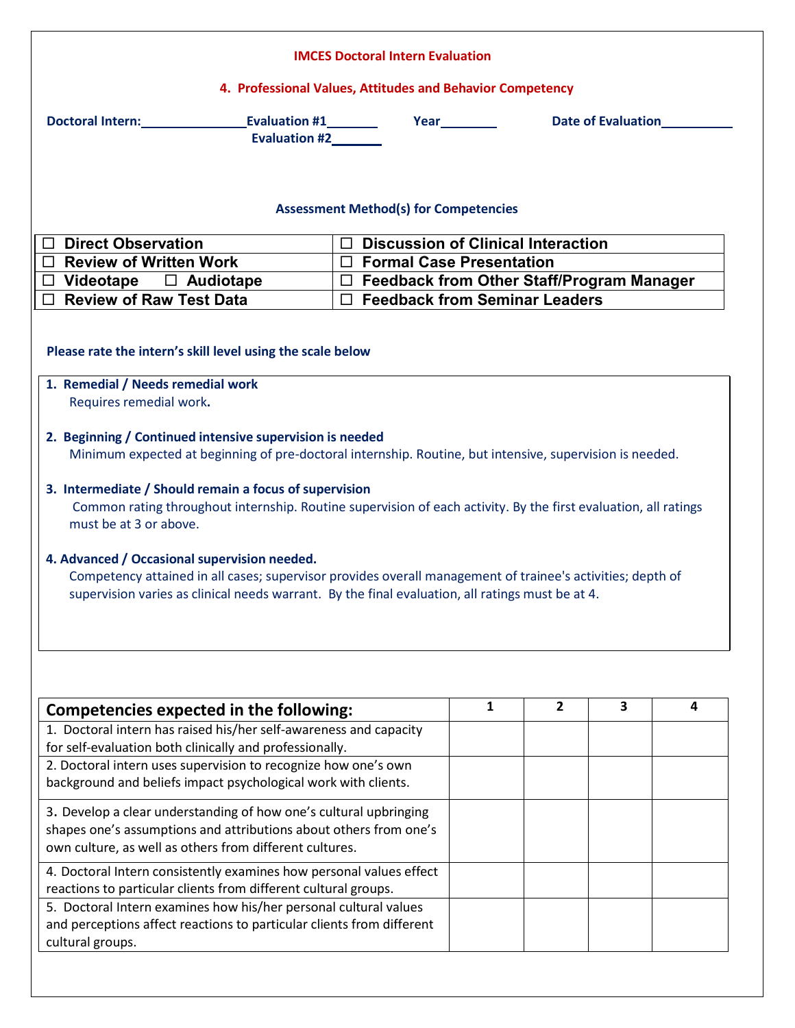|                                                                                                                                                                                                                                                                                                                                                                                                                                                                                                                                                                                                                                                                          | <b>IMCES Doctoral Intern Evaluation</b>                                                  |   |              |                    |   |
|--------------------------------------------------------------------------------------------------------------------------------------------------------------------------------------------------------------------------------------------------------------------------------------------------------------------------------------------------------------------------------------------------------------------------------------------------------------------------------------------------------------------------------------------------------------------------------------------------------------------------------------------------------------------------|------------------------------------------------------------------------------------------|---|--------------|--------------------|---|
| 4. Professional Values, Attitudes and Behavior Competency                                                                                                                                                                                                                                                                                                                                                                                                                                                                                                                                                                                                                |                                                                                          |   |              |                    |   |
| <b>Evaluation #1</b><br>Doctoral Intern:<br><u>Lettern:</u><br>Evaluation #2_______                                                                                                                                                                                                                                                                                                                                                                                                                                                                                                                                                                                      |                                                                                          |   |              | Date of Evaluation |   |
|                                                                                                                                                                                                                                                                                                                                                                                                                                                                                                                                                                                                                                                                          | <b>Assessment Method(s) for Competencies</b>                                             |   |              |                    |   |
| $\Box$ Direct Observation                                                                                                                                                                                                                                                                                                                                                                                                                                                                                                                                                                                                                                                | $\Box$ Discussion of Clinical Interaction                                                |   |              |                    |   |
| $\Box$ Review of Written Work                                                                                                                                                                                                                                                                                                                                                                                                                                                                                                                                                                                                                                            | $\Box$ Formal Case Presentation                                                          |   |              |                    |   |
| $\Box$ Videotape $\Box$ Audiotape<br>$\Box$ Review of Raw Test Data                                                                                                                                                                                                                                                                                                                                                                                                                                                                                                                                                                                                      | $\Box$ Feedback from Other Staff/Program Manager<br>$\Box$ Feedback from Seminar Leaders |   |              |                    |   |
|                                                                                                                                                                                                                                                                                                                                                                                                                                                                                                                                                                                                                                                                          |                                                                                          |   |              |                    |   |
| Requires remedial work.<br>2. Beginning / Continued intensive supervision is needed<br>Minimum expected at beginning of pre-doctoral internship. Routine, but intensive, supervision is needed.<br>3. Intermediate / Should remain a focus of supervision<br>Common rating throughout internship. Routine supervision of each activity. By the first evaluation, all ratings<br>must be at 3 or above.<br>4. Advanced / Occasional supervision needed.<br>Competency attained in all cases; supervisor provides overall management of trainee's activities; depth of<br>supervision varies as clinical needs warrant. By the final evaluation, all ratings must be at 4. |                                                                                          |   |              |                    |   |
| Competencies expected in the following:                                                                                                                                                                                                                                                                                                                                                                                                                                                                                                                                                                                                                                  |                                                                                          | 1 | $\mathbf{2}$ | 3                  | 4 |
| 1. Doctoral intern has raised his/her self-awareness and capacity                                                                                                                                                                                                                                                                                                                                                                                                                                                                                                                                                                                                        |                                                                                          |   |              |                    |   |
| for self-evaluation both clinically and professionally.                                                                                                                                                                                                                                                                                                                                                                                                                                                                                                                                                                                                                  |                                                                                          |   |              |                    |   |
| 2. Doctoral intern uses supervision to recognize how one's own                                                                                                                                                                                                                                                                                                                                                                                                                                                                                                                                                                                                           |                                                                                          |   |              |                    |   |
| background and beliefs impact psychological work with clients.                                                                                                                                                                                                                                                                                                                                                                                                                                                                                                                                                                                                           |                                                                                          |   |              |                    |   |
| 3. Develop a clear understanding of how one's cultural upbringing<br>shapes one's assumptions and attributions about others from one's<br>own culture, as well as others from different cultures.                                                                                                                                                                                                                                                                                                                                                                                                                                                                        |                                                                                          |   |              |                    |   |
| 4. Doctoral Intern consistently examines how personal values effect<br>reactions to particular clients from different cultural groups.                                                                                                                                                                                                                                                                                                                                                                                                                                                                                                                                   |                                                                                          |   |              |                    |   |
| 5. Doctoral Intern examines how his/her personal cultural values<br>and perceptions affect reactions to particular clients from different<br>cultural groups.                                                                                                                                                                                                                                                                                                                                                                                                                                                                                                            |                                                                                          |   |              |                    |   |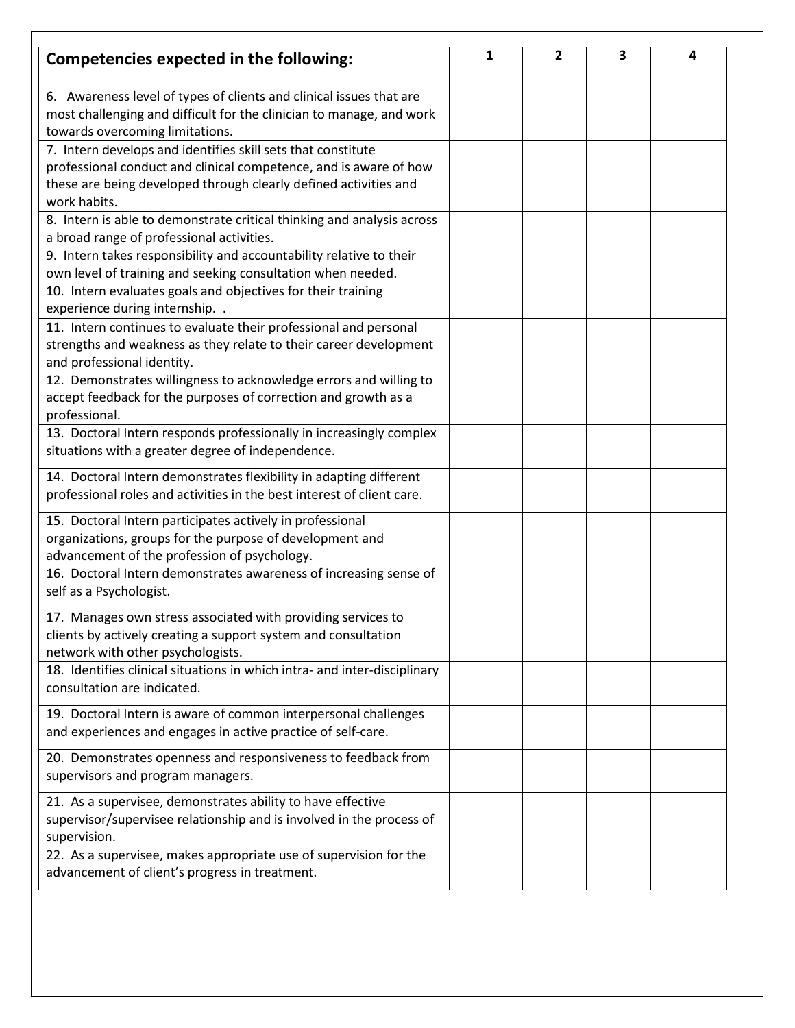| Competencies expected in the following:                                                                                                                                                                               | 1 | 2 | 3 | 4 |
|-----------------------------------------------------------------------------------------------------------------------------------------------------------------------------------------------------------------------|---|---|---|---|
| 6. Awareness level of types of clients and clinical issues that are<br>most challenging and difficult for the clinician to manage, and work<br>towards overcoming limitations.                                        |   |   |   |   |
| 7. Intern develops and identifies skill sets that constitute<br>professional conduct and clinical competence, and is aware of how<br>these are being developed through clearly defined activities and<br>work habits. |   |   |   |   |
| 8. Intern is able to demonstrate critical thinking and analysis across<br>a broad range of professional activities.                                                                                                   |   |   |   |   |
| 9. Intern takes responsibility and accountability relative to their<br>own level of training and seeking consultation when needed.                                                                                    |   |   |   |   |
| 10. Intern evaluates goals and objectives for their training<br>experience during internship. .                                                                                                                       |   |   |   |   |
| 11. Intern continues to evaluate their professional and personal<br>strengths and weakness as they relate to their career development<br>and professional identity.                                                   |   |   |   |   |
| 12. Demonstrates willingness to acknowledge errors and willing to<br>accept feedback for the purposes of correction and growth as a<br>professional.                                                                  |   |   |   |   |
| 13. Doctoral Intern responds professionally in increasingly complex<br>situations with a greater degree of independence.                                                                                              |   |   |   |   |
| 14. Doctoral Intern demonstrates flexibility in adapting different<br>professional roles and activities in the best interest of client care.                                                                          |   |   |   |   |
| 15. Doctoral Intern participates actively in professional<br>organizations, groups for the purpose of development and<br>advancement of the profession of psychology.                                                 |   |   |   |   |
| 16. Doctoral Intern demonstrates awareness of increasing sense of<br>self as a Psychologist.                                                                                                                          |   |   |   |   |
| 17. Manages own stress associated with providing services to<br>clients by actively creating a support system and consultation<br>network with other psychologists.                                                   |   |   |   |   |
| 18. Identifies clinical situations in which intra- and inter-disciplinary<br>consultation are indicated.                                                                                                              |   |   |   |   |
| 19. Doctoral Intern is aware of common interpersonal challenges<br>and experiences and engages in active practice of self-care.                                                                                       |   |   |   |   |
| 20. Demonstrates openness and responsiveness to feedback from<br>supervisors and program managers.                                                                                                                    |   |   |   |   |
| 21. As a supervisee, demonstrates ability to have effective<br>supervisor/supervisee relationship and is involved in the process of<br>supervision.                                                                   |   |   |   |   |
| 22. As a supervisee, makes appropriate use of supervision for the<br>advancement of client's progress in treatment.                                                                                                   |   |   |   |   |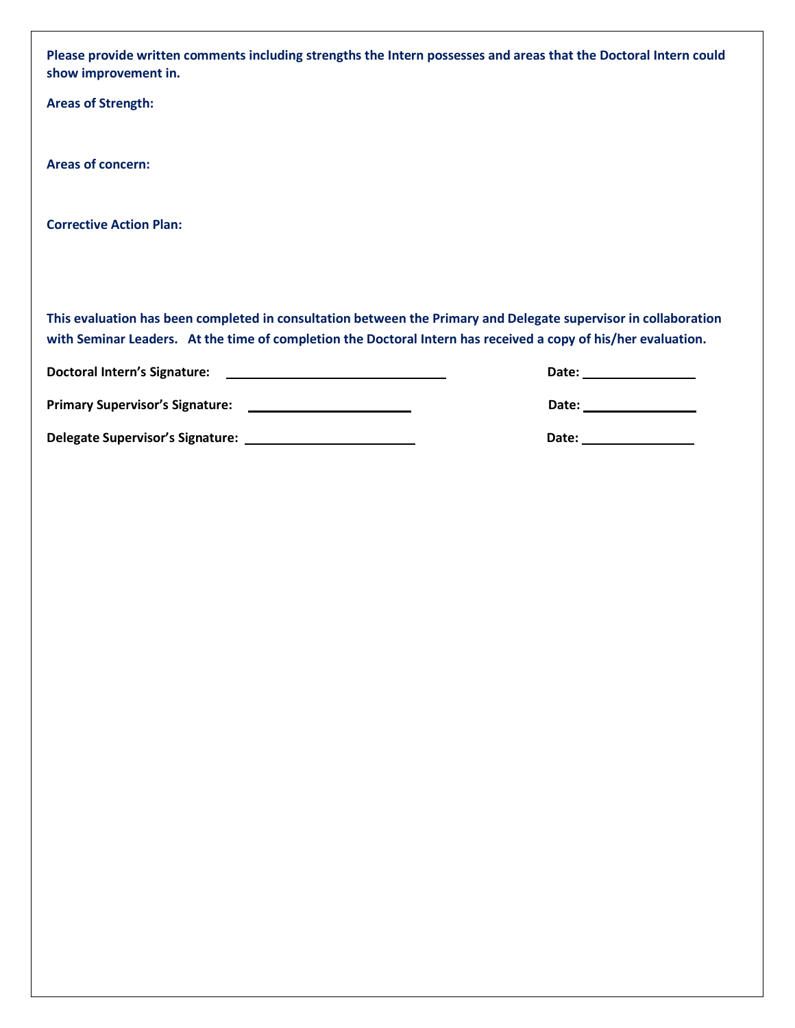| Please provide written comments including strengths the Intern possesses and areas that the Doctoral Intern could<br>show improvement in.                                                                                         |  |
|-----------------------------------------------------------------------------------------------------------------------------------------------------------------------------------------------------------------------------------|--|
| <b>Areas of Strength:</b>                                                                                                                                                                                                         |  |
| <b>Areas of concern:</b>                                                                                                                                                                                                          |  |
| <b>Corrective Action Plan:</b>                                                                                                                                                                                                    |  |
|                                                                                                                                                                                                                                   |  |
| This evaluation has been completed in consultation between the Primary and Delegate supervisor in collaboration<br>with Seminar Leaders. At the time of completion the Doctoral Intern has received a copy of his/her evaluation. |  |
|                                                                                                                                                                                                                                   |  |
|                                                                                                                                                                                                                                   |  |
|                                                                                                                                                                                                                                   |  |
|                                                                                                                                                                                                                                   |  |
|                                                                                                                                                                                                                                   |  |
|                                                                                                                                                                                                                                   |  |
|                                                                                                                                                                                                                                   |  |
|                                                                                                                                                                                                                                   |  |
|                                                                                                                                                                                                                                   |  |
|                                                                                                                                                                                                                                   |  |
|                                                                                                                                                                                                                                   |  |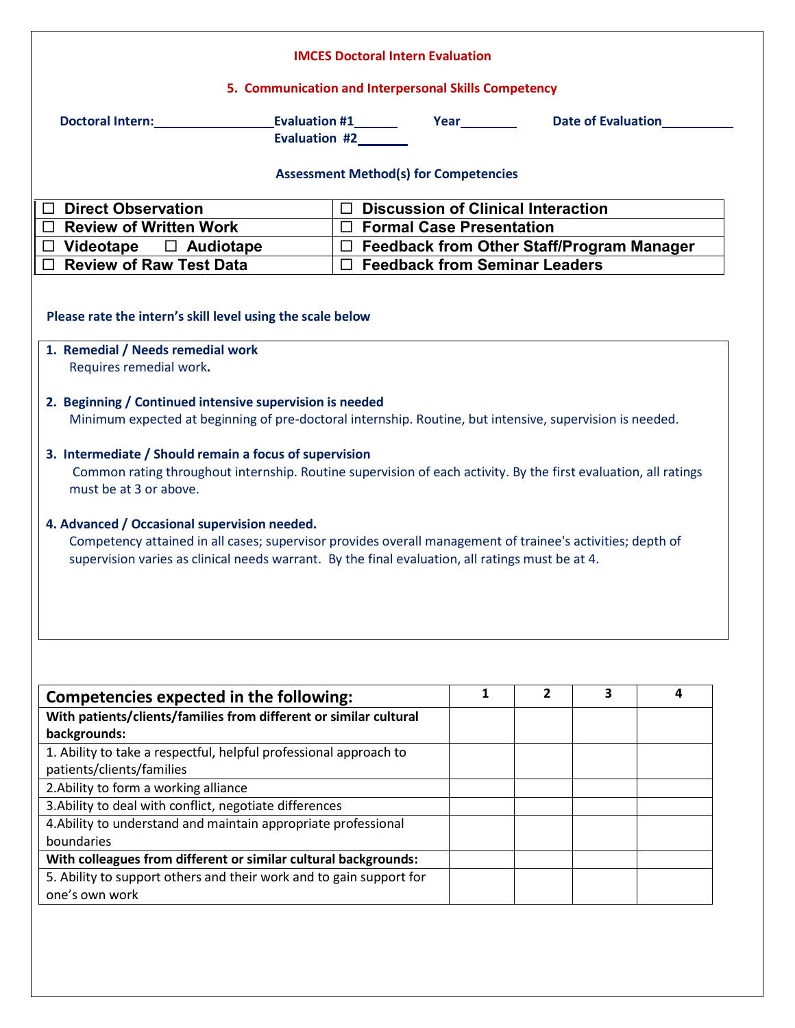|                                                                                                                                                                                                                                                                                                                                                                                                                                                                                                                                                                                                                                               | <b>IMCES Doctoral Intern Evaluation</b>              |   |                |                    |   |
|-----------------------------------------------------------------------------------------------------------------------------------------------------------------------------------------------------------------------------------------------------------------------------------------------------------------------------------------------------------------------------------------------------------------------------------------------------------------------------------------------------------------------------------------------------------------------------------------------------------------------------------------------|------------------------------------------------------|---|----------------|--------------------|---|
|                                                                                                                                                                                                                                                                                                                                                                                                                                                                                                                                                                                                                                               | 5. Communication and Interpersonal Skills Competency |   |                |                    |   |
| Doctoral Intern: New York Changes and Section 1.                                                                                                                                                                                                                                                                                                                                                                                                                                                                                                                                                                                              |                                                      |   |                | Date of Evaluation |   |
|                                                                                                                                                                                                                                                                                                                                                                                                                                                                                                                                                                                                                                               | Evaluation #2                                        |   |                |                    |   |
|                                                                                                                                                                                                                                                                                                                                                                                                                                                                                                                                                                                                                                               | <b>Assessment Method(s) for Competencies</b>         |   |                |                    |   |
| □ Direct Observation                                                                                                                                                                                                                                                                                                                                                                                                                                                                                                                                                                                                                          | $\Box$ Discussion of Clinical Interaction            |   |                |                    |   |
| $\Box$ Review of Written Work                                                                                                                                                                                                                                                                                                                                                                                                                                                                                                                                                                                                                 | $\Box$ Formal Case Presentation                      |   |                |                    |   |
| $\Box$ Videotape $\Box$ Audiotape                                                                                                                                                                                                                                                                                                                                                                                                                                                                                                                                                                                                             | □ Feedback from Other Staff/Program Manager          |   |                |                    |   |
| $\Box$ Review of Raw Test Data                                                                                                                                                                                                                                                                                                                                                                                                                                                                                                                                                                                                                | $\Box$ Feedback from Seminar Leaders                 |   |                |                    |   |
| Please rate the intern's skill level using the scale below<br>1. Remedial / Needs remedial work                                                                                                                                                                                                                                                                                                                                                                                                                                                                                                                                               |                                                      |   |                |                    |   |
| Requires remedial work.                                                                                                                                                                                                                                                                                                                                                                                                                                                                                                                                                                                                                       |                                                      |   |                |                    |   |
| 2. Beginning / Continued intensive supervision is needed<br>Minimum expected at beginning of pre-doctoral internship. Routine, but intensive, supervision is needed.<br>3. Intermediate / Should remain a focus of supervision<br>Common rating throughout internship. Routine supervision of each activity. By the first evaluation, all ratings<br>must be at 3 or above.<br>4. Advanced / Occasional supervision needed.<br>Competency attained in all cases; supervisor provides overall management of trainee's activities; depth of<br>supervision varies as clinical needs warrant. By the final evaluation, all ratings must be at 4. |                                                      |   |                |                    |   |
|                                                                                                                                                                                                                                                                                                                                                                                                                                                                                                                                                                                                                                               |                                                      |   |                |                    |   |
| <b>Competencies expected in the following:</b>                                                                                                                                                                                                                                                                                                                                                                                                                                                                                                                                                                                                |                                                      | 1 | $\overline{2}$ | 3                  | 4 |
| With patients/clients/families from different or similar cultural                                                                                                                                                                                                                                                                                                                                                                                                                                                                                                                                                                             |                                                      |   |                |                    |   |
| backgrounds:                                                                                                                                                                                                                                                                                                                                                                                                                                                                                                                                                                                                                                  |                                                      |   |                |                    |   |
| 1. Ability to take a respectful, helpful professional approach to                                                                                                                                                                                                                                                                                                                                                                                                                                                                                                                                                                             |                                                      |   |                |                    |   |
| patients/clients/families                                                                                                                                                                                                                                                                                                                                                                                                                                                                                                                                                                                                                     |                                                      |   |                |                    |   |
| 2. Ability to form a working alliance                                                                                                                                                                                                                                                                                                                                                                                                                                                                                                                                                                                                         |                                                      |   |                |                    |   |
| 3. Ability to deal with conflict, negotiate differences                                                                                                                                                                                                                                                                                                                                                                                                                                                                                                                                                                                       |                                                      |   |                |                    |   |
| 4. Ability to understand and maintain appropriate professional                                                                                                                                                                                                                                                                                                                                                                                                                                                                                                                                                                                |                                                      |   |                |                    |   |
| boundaries                                                                                                                                                                                                                                                                                                                                                                                                                                                                                                                                                                                                                                    |                                                      |   |                |                    |   |
| With colleagues from different or similar cultural backgrounds:                                                                                                                                                                                                                                                                                                                                                                                                                                                                                                                                                                               |                                                      |   |                |                    |   |
| 5. Ability to support others and their work and to gain support for                                                                                                                                                                                                                                                                                                                                                                                                                                                                                                                                                                           |                                                      |   |                |                    |   |
| one's own work                                                                                                                                                                                                                                                                                                                                                                                                                                                                                                                                                                                                                                |                                                      |   |                |                    |   |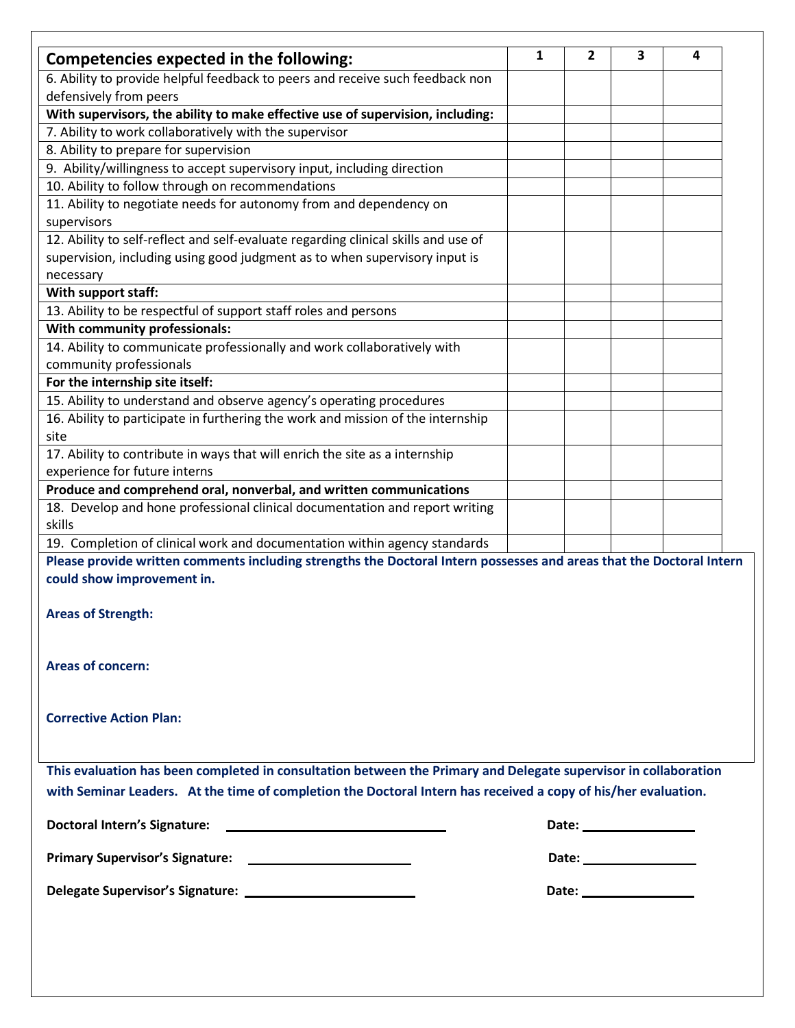| Competencies expected in the following:                                                                              | 1 | 2 | 3 | 4 |
|----------------------------------------------------------------------------------------------------------------------|---|---|---|---|
| 6. Ability to provide helpful feedback to peers and receive such feedback non                                        |   |   |   |   |
| defensively from peers                                                                                               |   |   |   |   |
| With supervisors, the ability to make effective use of supervision, including:                                       |   |   |   |   |
| 7. Ability to work collaboratively with the supervisor                                                               |   |   |   |   |
| 8. Ability to prepare for supervision                                                                                |   |   |   |   |
| 9. Ability/willingness to accept supervisory input, including direction                                              |   |   |   |   |
| 10. Ability to follow through on recommendations                                                                     |   |   |   |   |
| 11. Ability to negotiate needs for autonomy from and dependency on                                                   |   |   |   |   |
| supervisors                                                                                                          |   |   |   |   |
| 12. Ability to self-reflect and self-evaluate regarding clinical skills and use of                                   |   |   |   |   |
| supervision, including using good judgment as to when supervisory input is                                           |   |   |   |   |
| necessary                                                                                                            |   |   |   |   |
|                                                                                                                      |   |   |   |   |
| With support staff:                                                                                                  |   |   |   |   |
| 13. Ability to be respectful of support staff roles and persons                                                      |   |   |   |   |
| With community professionals:                                                                                        |   |   |   |   |
| 14. Ability to communicate professionally and work collaboratively with                                              |   |   |   |   |
| community professionals                                                                                              |   |   |   |   |
| For the internship site itself:                                                                                      |   |   |   |   |
| 15. Ability to understand and observe agency's operating procedures                                                  |   |   |   |   |
| 16. Ability to participate in furthering the work and mission of the internship                                      |   |   |   |   |
| site                                                                                                                 |   |   |   |   |
| 17. Ability to contribute in ways that will enrich the site as a internship                                          |   |   |   |   |
| experience for future interns                                                                                        |   |   |   |   |
| Produce and comprehend oral, nonverbal, and written communications                                                   |   |   |   |   |
| 18. Develop and hone professional clinical documentation and report writing                                          |   |   |   |   |
| skills                                                                                                               |   |   |   |   |
| 19. Completion of clinical work and documentation within agency standards                                            |   |   |   |   |
| Please provide written comments including strengths the Doctoral Intern possesses and areas that the Doctoral Intern |   |   |   |   |
| could show improvement in.                                                                                           |   |   |   |   |
|                                                                                                                      |   |   |   |   |
| <b>Areas of Strength:</b>                                                                                            |   |   |   |   |
|                                                                                                                      |   |   |   |   |
|                                                                                                                      |   |   |   |   |
| <b>Areas of concern:</b>                                                                                             |   |   |   |   |
|                                                                                                                      |   |   |   |   |
|                                                                                                                      |   |   |   |   |
| <b>Corrective Action Plan:</b>                                                                                       |   |   |   |   |
|                                                                                                                      |   |   |   |   |
|                                                                                                                      |   |   |   |   |
| This evaluation has been completed in consultation between the Primary and Delegate supervisor in collaboration      |   |   |   |   |
| with Seminar Leaders. At the time of completion the Doctoral Intern has received a copy of his/her evaluation.       |   |   |   |   |
|                                                                                                                      |   |   |   |   |
| <b>Doctoral Intern's Signature:</b><br><u> Andreas Andrew Maria (1989)</u>                                           |   |   |   |   |
|                                                                                                                      |   |   |   |   |
|                                                                                                                      |   |   |   |   |
|                                                                                                                      |   |   |   |   |
|                                                                                                                      |   |   |   |   |
|                                                                                                                      |   |   |   |   |
|                                                                                                                      |   |   |   |   |
|                                                                                                                      |   |   |   |   |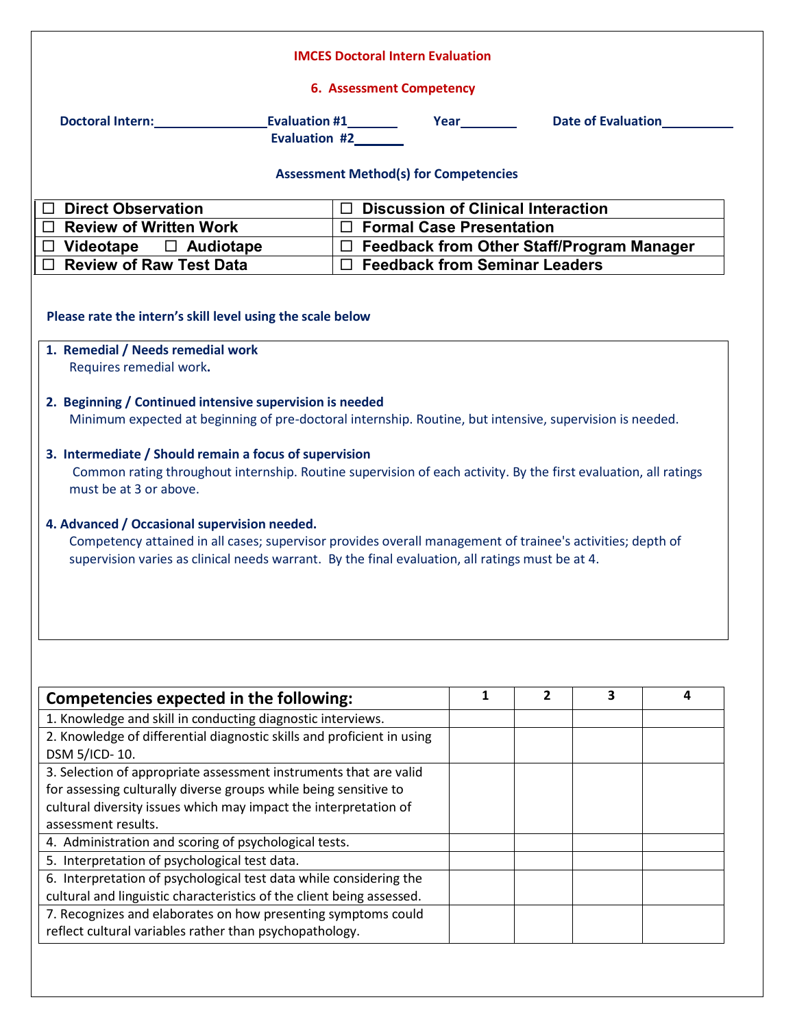|                                                                                                                                                                                                                                                                                                                                                                                                                                                                                                                                                                                                                                                                                                               | <b>IMCES Doctoral Intern Evaluation</b>             |                                                                                                                        |              |   |                              |
|---------------------------------------------------------------------------------------------------------------------------------------------------------------------------------------------------------------------------------------------------------------------------------------------------------------------------------------------------------------------------------------------------------------------------------------------------------------------------------------------------------------------------------------------------------------------------------------------------------------------------------------------------------------------------------------------------------------|-----------------------------------------------------|------------------------------------------------------------------------------------------------------------------------|--------------|---|------------------------------|
|                                                                                                                                                                                                                                                                                                                                                                                                                                                                                                                                                                                                                                                                                                               | <b>6. Assessment Competency</b>                     |                                                                                                                        |              |   |                              |
| Doctoral Intern: 1988 March 1988                                                                                                                                                                                                                                                                                                                                                                                                                                                                                                                                                                                                                                                                              | Evaluation #2_______                                | <b>Year</b> and the set of the set of the set of the set of the set of the set of the set of the set of the set of the |              |   | Date of Evaluation__________ |
|                                                                                                                                                                                                                                                                                                                                                                                                                                                                                                                                                                                                                                                                                                               | <b>Assessment Method(s) for Competencies</b>        |                                                                                                                        |              |   |                              |
| <b>Direct Observation</b>                                                                                                                                                                                                                                                                                                                                                                                                                                                                                                                                                                                                                                                                                     | <b>Discussion of Clinical Interaction</b><br>$\Box$ |                                                                                                                        |              |   |                              |
| $\Box$ Review of Written Work                                                                                                                                                                                                                                                                                                                                                                                                                                                                                                                                                                                                                                                                                 | $\Box$ Formal Case Presentation                     |                                                                                                                        |              |   |                              |
| $\Box$ Videotape $\Box$ Audiotape                                                                                                                                                                                                                                                                                                                                                                                                                                                                                                                                                                                                                                                                             | $\Box$ Feedback from Other Staff/Program Manager    |                                                                                                                        |              |   |                              |
| <b>Review of Raw Test Data</b>                                                                                                                                                                                                                                                                                                                                                                                                                                                                                                                                                                                                                                                                                | □ Feedback from Seminar Leaders                     |                                                                                                                        |              |   |                              |
| 1. Remedial / Needs remedial work<br>Requires remedial work.<br>2. Beginning / Continued intensive supervision is needed<br>Minimum expected at beginning of pre-doctoral internship. Routine, but intensive, supervision is needed.<br>3. Intermediate / Should remain a focus of supervision<br>Common rating throughout internship. Routine supervision of each activity. By the first evaluation, all ratings<br>must be at 3 or above.<br>4. Advanced / Occasional supervision needed.<br>Competency attained in all cases; supervisor provides overall management of trainee's activities; depth of<br>supervision varies as clinical needs warrant. By the final evaluation, all ratings must be at 4. |                                                     |                                                                                                                        |              |   |                              |
| Competencies expected in the following:<br>1. Knowledge and skill in conducting diagnostic interviews.<br>2. Knowledge of differential diagnostic skills and proficient in using<br>DSM 5/ICD-10.<br>3. Selection of appropriate assessment instruments that are valid<br>for assessing culturally diverse groups while being sensitive to<br>cultural diversity issues which may impact the interpretation of<br>assessment results.<br>4. Administration and scoring of psychological tests.<br>5. Interpretation of psychological test data.<br>6. Interpretation of psychological test data while considering the<br>cultural and linguistic characteristics of the client being assessed.                |                                                     | $\mathbf{1}$                                                                                                           | $\mathbf{2}$ | 3 | 4                            |
| 7. Recognizes and elaborates on how presenting symptoms could                                                                                                                                                                                                                                                                                                                                                                                                                                                                                                                                                                                                                                                 |                                                     |                                                                                                                        |              |   |                              |
| reflect cultural variables rather than psychopathology.                                                                                                                                                                                                                                                                                                                                                                                                                                                                                                                                                                                                                                                       |                                                     |                                                                                                                        |              |   |                              |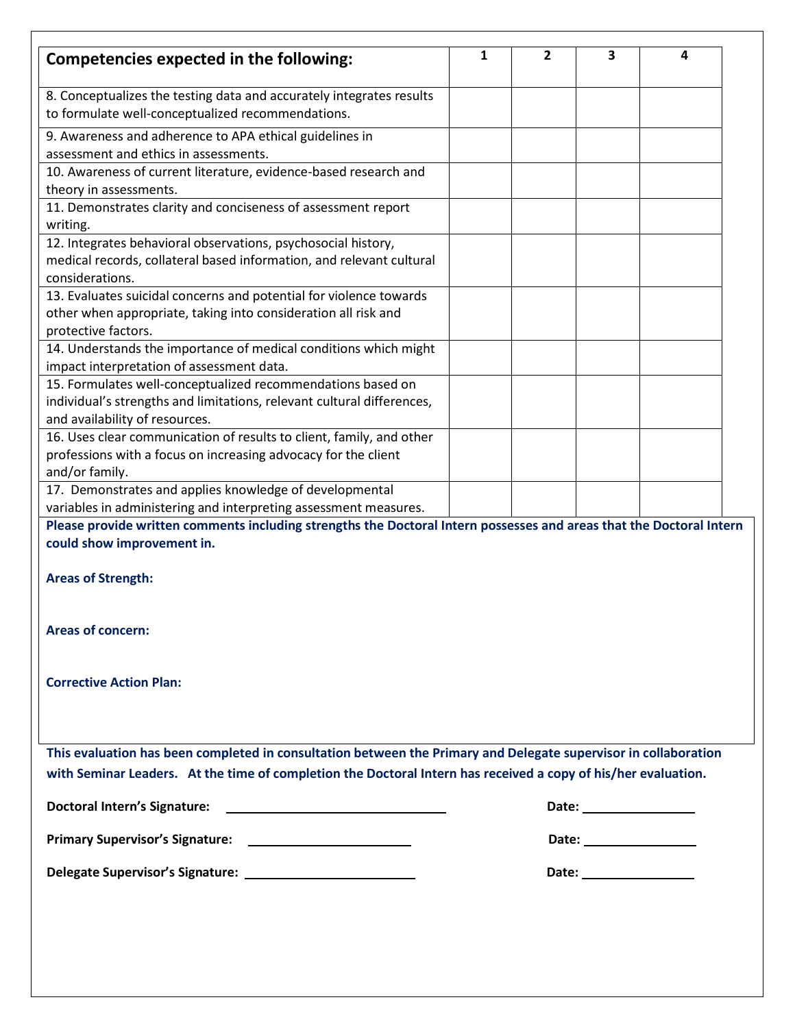| <b>Competencies expected in the following:</b>                                                                            | 1 | 2 | 3                                  | 4 |
|---------------------------------------------------------------------------------------------------------------------------|---|---|------------------------------------|---|
| 8. Conceptualizes the testing data and accurately integrates results<br>to formulate well-conceptualized recommendations. |   |   |                                    |   |
| 9. Awareness and adherence to APA ethical guidelines in<br>assessment and ethics in assessments.                          |   |   |                                    |   |
| 10. Awareness of current literature, evidence-based research and                                                          |   |   |                                    |   |
| theory in assessments.                                                                                                    |   |   |                                    |   |
| 11. Demonstrates clarity and conciseness of assessment report                                                             |   |   |                                    |   |
| writing.                                                                                                                  |   |   |                                    |   |
| 12. Integrates behavioral observations, psychosocial history,                                                             |   |   |                                    |   |
| medical records, collateral based information, and relevant cultural                                                      |   |   |                                    |   |
| considerations.                                                                                                           |   |   |                                    |   |
| 13. Evaluates suicidal concerns and potential for violence towards                                                        |   |   |                                    |   |
| other when appropriate, taking into consideration all risk and                                                            |   |   |                                    |   |
| protective factors.                                                                                                       |   |   |                                    |   |
| 14. Understands the importance of medical conditions which might                                                          |   |   |                                    |   |
| impact interpretation of assessment data.                                                                                 |   |   |                                    |   |
| 15. Formulates well-conceptualized recommendations based on                                                               |   |   |                                    |   |
| individual's strengths and limitations, relevant cultural differences,                                                    |   |   |                                    |   |
| and availability of resources.                                                                                            |   |   |                                    |   |
| 16. Uses clear communication of results to client, family, and other                                                      |   |   |                                    |   |
| professions with a focus on increasing advocacy for the client                                                            |   |   |                                    |   |
| and/or family.                                                                                                            |   |   |                                    |   |
| 17. Demonstrates and applies knowledge of developmental                                                                   |   |   |                                    |   |
| variables in administering and interpreting assessment measures.                                                          |   |   |                                    |   |
| Please provide written comments including strengths the Doctoral Intern possesses and areas that the Doctoral Intern      |   |   |                                    |   |
| could show improvement in.                                                                                                |   |   |                                    |   |
| <b>Areas of Strength:</b>                                                                                                 |   |   |                                    |   |
| <b>Areas of concern:</b>                                                                                                  |   |   |                                    |   |
| <b>Corrective Action Plan:</b>                                                                                            |   |   |                                    |   |
| This evaluation has been completed in consultation between the Primary and Delegate supervisor in collaboration           |   |   |                                    |   |
|                                                                                                                           |   |   |                                    |   |
| with Seminar Leaders. At the time of completion the Doctoral Intern has received a copy of his/her evaluation.            |   |   |                                    |   |
| <b>Doctoral Intern's Signature:</b><br><u> Andreas Andreas (1986)</u>                                                     |   |   |                                    |   |
|                                                                                                                           |   |   | Date: <u>_____________________</u> |   |
|                                                                                                                           |   |   |                                    |   |
|                                                                                                                           |   |   |                                    |   |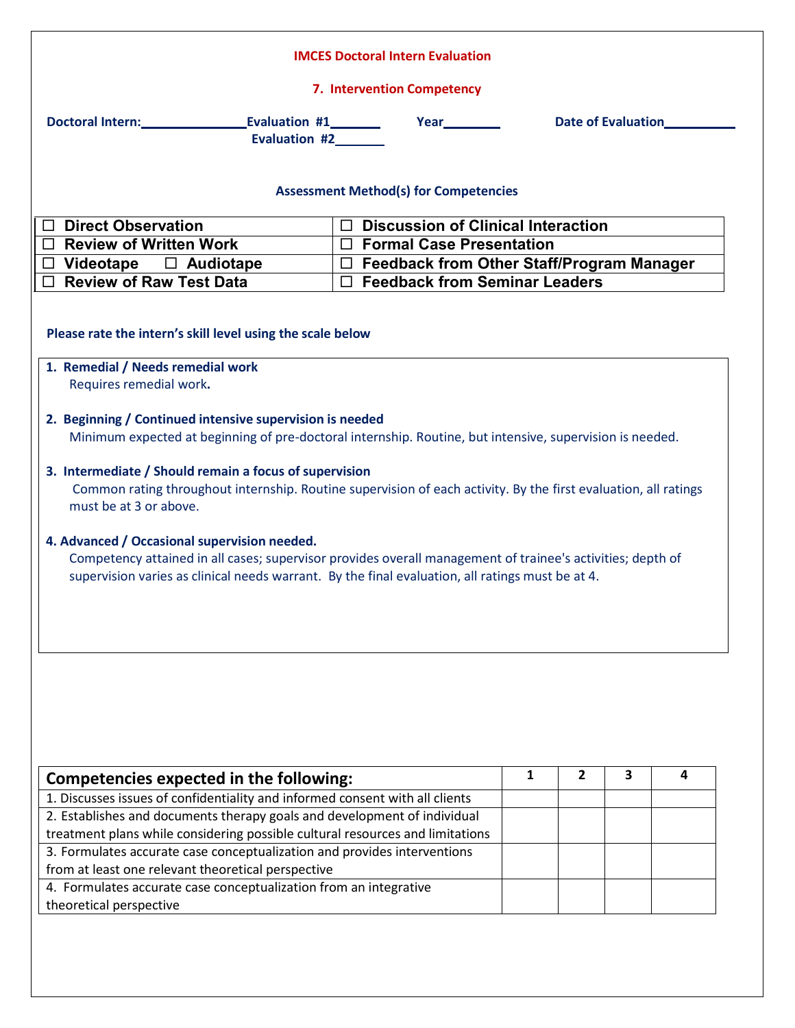|                                                                                                                                                                                                                                                                                                                                                                                                                                                                                                                               | <b>IMCES Doctoral Intern Evaluation</b>                                                                                                                                                                                                                                                                                                                                                                                                       |
|-------------------------------------------------------------------------------------------------------------------------------------------------------------------------------------------------------------------------------------------------------------------------------------------------------------------------------------------------------------------------------------------------------------------------------------------------------------------------------------------------------------------------------|-----------------------------------------------------------------------------------------------------------------------------------------------------------------------------------------------------------------------------------------------------------------------------------------------------------------------------------------------------------------------------------------------------------------------------------------------|
|                                                                                                                                                                                                                                                                                                                                                                                                                                                                                                                               | 7. Intervention Competency                                                                                                                                                                                                                                                                                                                                                                                                                    |
| Doctoral Intern:<br><u>Doctoral Intern:</u><br>Evaluation #2_______                                                                                                                                                                                                                                                                                                                                                                                                                                                           | Date of Evaluation                                                                                                                                                                                                                                                                                                                                                                                                                            |
|                                                                                                                                                                                                                                                                                                                                                                                                                                                                                                                               | <b>Assessment Method(s) for Competencies</b>                                                                                                                                                                                                                                                                                                                                                                                                  |
| $\Box$ Direct Observation                                                                                                                                                                                                                                                                                                                                                                                                                                                                                                     | $\Box$ Discussion of Clinical Interaction                                                                                                                                                                                                                                                                                                                                                                                                     |
| $\Box$ Review of Written Work                                                                                                                                                                                                                                                                                                                                                                                                                                                                                                 | $\Box$ Formal Case Presentation                                                                                                                                                                                                                                                                                                                                                                                                               |
| $\Box$ Videotape $\Box$ Audiotape                                                                                                                                                                                                                                                                                                                                                                                                                                                                                             | □ Feedback from Other Staff/Program Manager                                                                                                                                                                                                                                                                                                                                                                                                   |
| $\Box$ Review of Raw Test Data                                                                                                                                                                                                                                                                                                                                                                                                                                                                                                | $\Box$ Feedback from Seminar Leaders                                                                                                                                                                                                                                                                                                                                                                                                          |
| Please rate the intern's skill level using the scale below<br>1. Remedial / Needs remedial work<br>Requires remedial work.<br>2. Beginning / Continued intensive supervision is needed<br>3. Intermediate / Should remain a focus of supervision<br>must be at 3 or above.<br>4. Advanced / Occasional supervision needed.                                                                                                                                                                                                    | Minimum expected at beginning of pre-doctoral internship. Routine, but intensive, supervision is needed.<br>Common rating throughout internship. Routine supervision of each activity. By the first evaluation, all ratings<br>Competency attained in all cases; supervisor provides overall management of trainee's activities; depth of<br>supervision varies as clinical needs warrant. By the final evaluation, all ratings must be at 4. |
| <b>Competencies expected in the following:</b><br>1. Discusses issues of confidentiality and informed consent with all clients<br>2. Establishes and documents therapy goals and development of individual<br>treatment plans while considering possible cultural resources and limitations<br>3. Formulates accurate case conceptualization and provides interventions<br>from at least one relevant theoretical perspective<br>4. Formulates accurate case conceptualization from an integrative<br>theoretical perspective | 1<br>$\overline{2}$<br>3<br>4                                                                                                                                                                                                                                                                                                                                                                                                                 |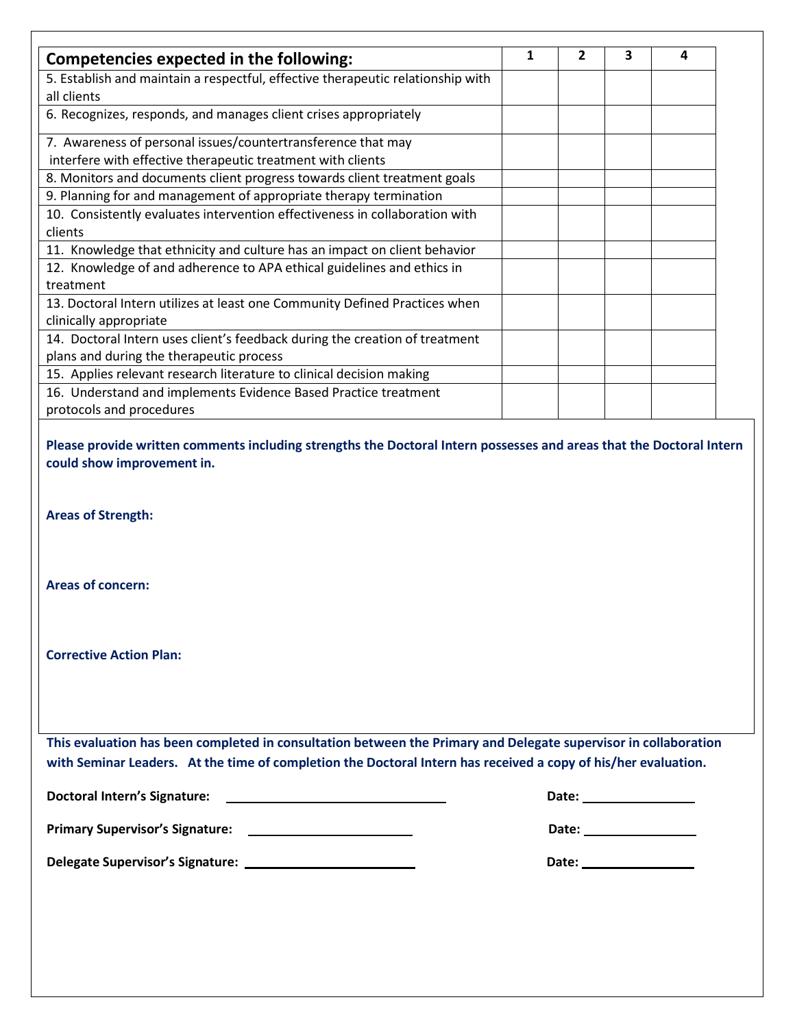| <b>Competencies expected in the following:</b>                                                                                                                                                                                                    | $\mathbf{1}$ | $\overline{2}$ | 3 | 4 |
|---------------------------------------------------------------------------------------------------------------------------------------------------------------------------------------------------------------------------------------------------|--------------|----------------|---|---|
| 5. Establish and maintain a respectful, effective therapeutic relationship with                                                                                                                                                                   |              |                |   |   |
| all clients                                                                                                                                                                                                                                       |              |                |   |   |
| 6. Recognizes, responds, and manages client crises appropriately                                                                                                                                                                                  |              |                |   |   |
| 7. Awareness of personal issues/countertransference that may                                                                                                                                                                                      |              |                |   |   |
| interfere with effective therapeutic treatment with clients                                                                                                                                                                                       |              |                |   |   |
| 8. Monitors and documents client progress towards client treatment goals                                                                                                                                                                          |              |                |   |   |
| 9. Planning for and management of appropriate therapy termination                                                                                                                                                                                 |              |                |   |   |
| 10. Consistently evaluates intervention effectiveness in collaboration with                                                                                                                                                                       |              |                |   |   |
| clients                                                                                                                                                                                                                                           |              |                |   |   |
| 11. Knowledge that ethnicity and culture has an impact on client behavior                                                                                                                                                                         |              |                |   |   |
| 12. Knowledge of and adherence to APA ethical guidelines and ethics in                                                                                                                                                                            |              |                |   |   |
| treatment                                                                                                                                                                                                                                         |              |                |   |   |
| 13. Doctoral Intern utilizes at least one Community Defined Practices when<br>clinically appropriate                                                                                                                                              |              |                |   |   |
| 14. Doctoral Intern uses client's feedback during the creation of treatment                                                                                                                                                                       |              |                |   |   |
| plans and during the therapeutic process                                                                                                                                                                                                          |              |                |   |   |
| 15. Applies relevant research literature to clinical decision making                                                                                                                                                                              |              |                |   |   |
|                                                                                                                                                                                                                                                   |              |                |   |   |
|                                                                                                                                                                                                                                                   |              |                |   |   |
| 16. Understand and implements Evidence Based Practice treatment<br>protocols and procedures<br>Please provide written comments including strengths the Doctoral Intern possesses and areas that the Doctoral Intern<br>could show improvement in. |              |                |   |   |
| <b>Areas of Strength:</b>                                                                                                                                                                                                                         |              |                |   |   |
| <b>Areas of concern:</b>                                                                                                                                                                                                                          |              |                |   |   |
| <b>Corrective Action Plan:</b>                                                                                                                                                                                                                    |              |                |   |   |
|                                                                                                                                                                                                                                                   |              |                |   |   |
| This evaluation has been completed in consultation between the Primary and Delegate supervisor in collaboration<br>with Seminar Leaders. At the time of completion the Doctoral Intern has received a copy of his/her evaluation.                 |              |                |   |   |
| <b>Doctoral Intern's Signature:</b><br><u> 1989 - Johann John Stone, mars et al. (</u>                                                                                                                                                            |              |                |   |   |
|                                                                                                                                                                                                                                                   |              |                |   |   |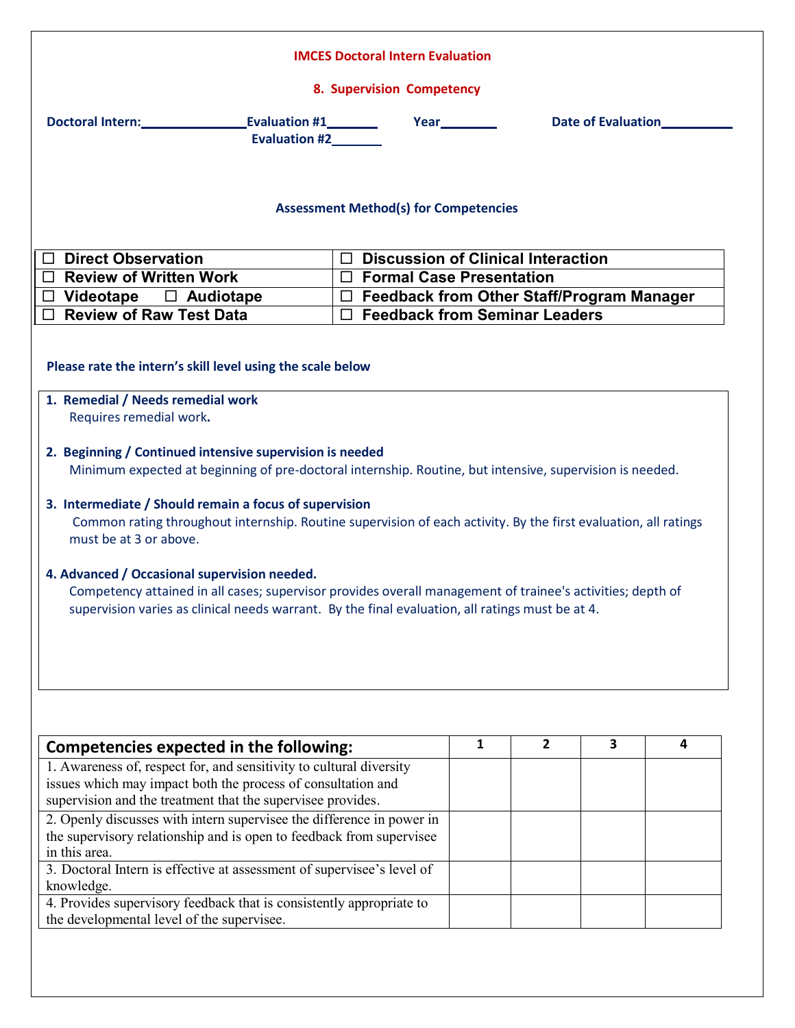|                                                                                                                                                                                                                                                                                                                                                                                                                                                                                                                                                                                                                                                                          | <b>IMCES Doctoral Intern Evaluation</b>                                                  |                                           |                |                     |   |
|--------------------------------------------------------------------------------------------------------------------------------------------------------------------------------------------------------------------------------------------------------------------------------------------------------------------------------------------------------------------------------------------------------------------------------------------------------------------------------------------------------------------------------------------------------------------------------------------------------------------------------------------------------------------------|------------------------------------------------------------------------------------------|-------------------------------------------|----------------|---------------------|---|
|                                                                                                                                                                                                                                                                                                                                                                                                                                                                                                                                                                                                                                                                          | 8. Supervision Competency                                                                |                                           |                |                     |   |
| <b>Evaluation #1</b> Reserves<br>Doctoral Intern: New York Doctoral Internal<br>Evaluation #2________                                                                                                                                                                                                                                                                                                                                                                                                                                                                                                                                                                    |                                                                                          |                                           |                | Date of Evaluation_ |   |
|                                                                                                                                                                                                                                                                                                                                                                                                                                                                                                                                                                                                                                                                          | <b>Assessment Method(s) for Competencies</b>                                             |                                           |                |                     |   |
| <b>Direct Observation</b><br>$\Box$                                                                                                                                                                                                                                                                                                                                                                                                                                                                                                                                                                                                                                      | $\Box$                                                                                   | <b>Discussion of Clinical Interaction</b> |                |                     |   |
| $\Box$ Review of Written Work                                                                                                                                                                                                                                                                                                                                                                                                                                                                                                                                                                                                                                            | $\Box$ Formal Case Presentation                                                          |                                           |                |                     |   |
| $\Box$ Videotape $\Box$ Audiotape<br><b>Review of Raw Test Data</b>                                                                                                                                                                                                                                                                                                                                                                                                                                                                                                                                                                                                      | $\Box$ Feedback from Other Staff/Program Manager<br>$\Box$ Feedback from Seminar Leaders |                                           |                |                     |   |
| Requires remedial work.<br>2. Beginning / Continued intensive supervision is needed<br>Minimum expected at beginning of pre-doctoral internship. Routine, but intensive, supervision is needed.<br>3. Intermediate / Should remain a focus of supervision<br>Common rating throughout internship. Routine supervision of each activity. By the first evaluation, all ratings<br>must be at 3 or above.<br>4. Advanced / Occasional supervision needed.<br>Competency attained in all cases; supervisor provides overall management of trainee's activities; depth of<br>supervision varies as clinical needs warrant. By the final evaluation, all ratings must be at 4. |                                                                                          |                                           |                |                     |   |
|                                                                                                                                                                                                                                                                                                                                                                                                                                                                                                                                                                                                                                                                          |                                                                                          | 1                                         | $\overline{2}$ | 3                   | 4 |
| Competencies expected in the following:<br>1. Awareness of, respect for, and sensitivity to cultural diversity                                                                                                                                                                                                                                                                                                                                                                                                                                                                                                                                                           |                                                                                          |                                           |                |                     |   |
| issues which may impact both the process of consultation and                                                                                                                                                                                                                                                                                                                                                                                                                                                                                                                                                                                                             |                                                                                          |                                           |                |                     |   |
| supervision and the treatment that the supervisee provides.                                                                                                                                                                                                                                                                                                                                                                                                                                                                                                                                                                                                              |                                                                                          |                                           |                |                     |   |
| 2. Openly discusses with intern supervisee the difference in power in<br>the supervisory relationship and is open to feedback from supervisee<br>in this area.                                                                                                                                                                                                                                                                                                                                                                                                                                                                                                           |                                                                                          |                                           |                |                     |   |
| 3. Doctoral Intern is effective at assessment of supervisee's level of<br>knowledge.                                                                                                                                                                                                                                                                                                                                                                                                                                                                                                                                                                                     |                                                                                          |                                           |                |                     |   |
| 4. Provides supervisory feedback that is consistently appropriate to<br>the developmental level of the supervisee.                                                                                                                                                                                                                                                                                                                                                                                                                                                                                                                                                       |                                                                                          |                                           |                |                     |   |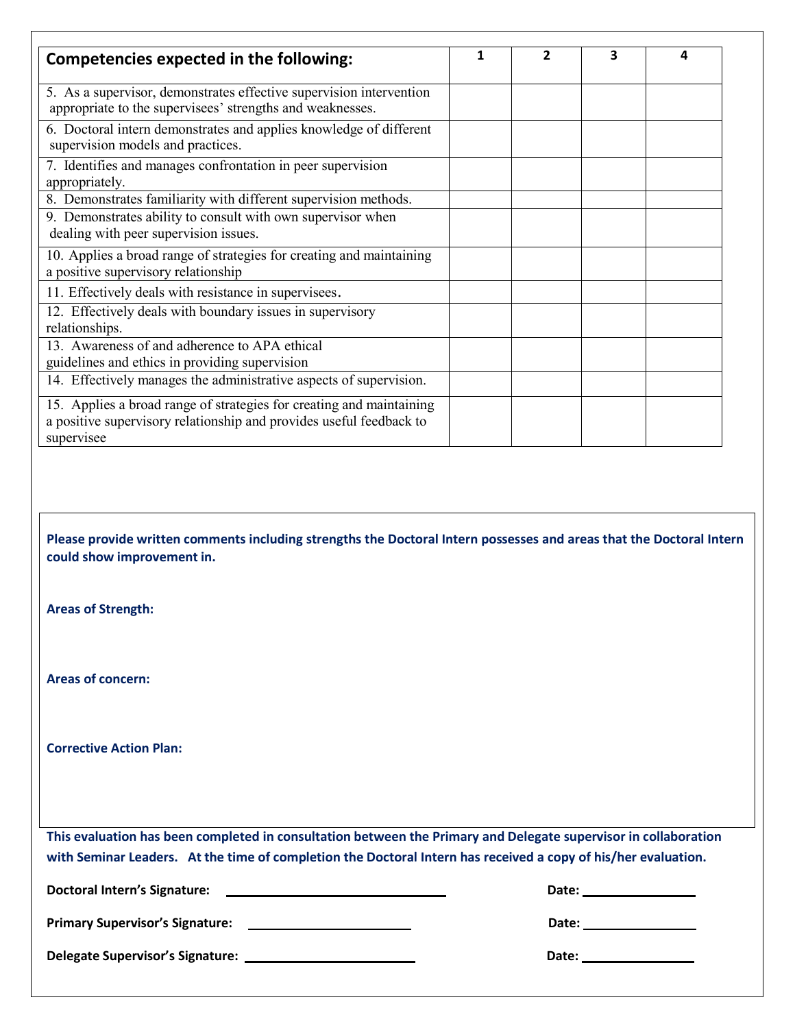| Competencies expected in the following:                                                                                                                                 | 1 | $\overline{2}$ | $\overline{\mathbf{3}}$ | 4 |
|-------------------------------------------------------------------------------------------------------------------------------------------------------------------------|---|----------------|-------------------------|---|
| 5. As a supervisor, demonstrates effective supervision intervention<br>appropriate to the supervisees' strengths and weaknesses.                                        |   |                |                         |   |
| 6. Doctoral intern demonstrates and applies knowledge of different<br>supervision models and practices.                                                                 |   |                |                         |   |
| 7. Identifies and manages confrontation in peer supervision<br>appropriately.                                                                                           |   |                |                         |   |
| 8. Demonstrates familiarity with different supervision methods.<br>9. Demonstrates ability to consult with own supervisor when<br>dealing with peer supervision issues. |   |                |                         |   |
| 10. Applies a broad range of strategies for creating and maintaining<br>a positive supervisory relationship                                                             |   |                |                         |   |
| 11. Effectively deals with resistance in supervisees.<br>12. Effectively deals with boundary issues in supervisory                                                      |   |                |                         |   |
| relationships.<br>13. Awareness of and adherence to APA ethical                                                                                                         |   |                |                         |   |
| guidelines and ethics in providing supervision<br>14. Effectively manages the administrative aspects of supervision.                                                    |   |                |                         |   |
| 15. Applies a broad range of strategies for creating and maintaining<br>a positive supervisory relationship and provides useful feedback to<br>supervisee               |   |                |                         |   |
| Please provide written comments including strengths the Doctoral Intern possesses and areas that the Doctoral Intern<br>could show improvement in.                      |   |                |                         |   |
| <b>Areas of Strength:</b>                                                                                                                                               |   |                |                         |   |
| <b>Areas of concern:</b>                                                                                                                                                |   |                |                         |   |
| <b>Corrective Action Plan:</b>                                                                                                                                          |   |                |                         |   |
|                                                                                                                                                                         |   |                |                         |   |
| This evaluation has been completed in consultation between the Primary and Delegate supervisor in collaboration                                                         |   |                |                         |   |
| with Seminar Leaders. At the time of completion the Doctoral Intern has received a copy of his/her evaluation.                                                          |   |                |                         |   |
| <b>Doctoral Intern's Signature:</b><br><u> 1989 - Johann Barbara, martin a</u>                                                                                          |   |                |                         |   |
|                                                                                                                                                                         |   |                |                         |   |

**Delegate Supervisor's Signature: Date:**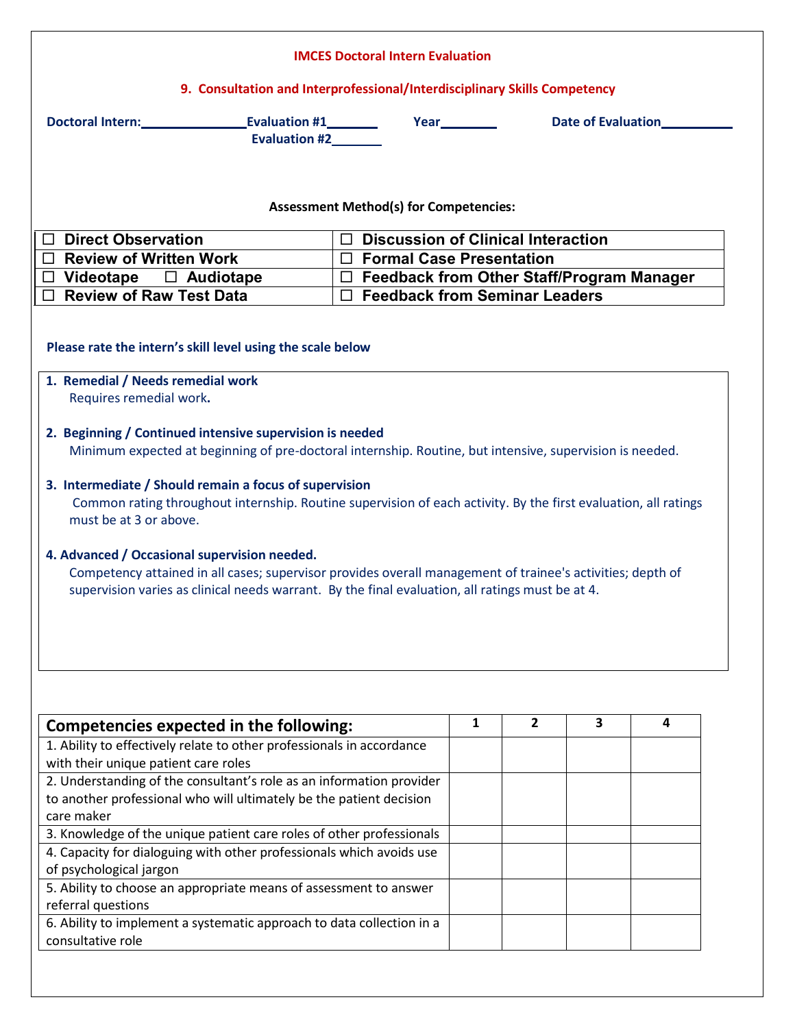|                                                                                                                                                                                                                                                                                                                                                                                                                                                                                                                                                                                                                                                                                                               | <b>IMCES Doctoral Intern Evaluation</b>          |   |                |                         |                              |
|---------------------------------------------------------------------------------------------------------------------------------------------------------------------------------------------------------------------------------------------------------------------------------------------------------------------------------------------------------------------------------------------------------------------------------------------------------------------------------------------------------------------------------------------------------------------------------------------------------------------------------------------------------------------------------------------------------------|--------------------------------------------------|---|----------------|-------------------------|------------------------------|
| 9. Consultation and Interprofessional/Interdisciplinary Skills Competency                                                                                                                                                                                                                                                                                                                                                                                                                                                                                                                                                                                                                                     |                                                  |   |                |                         |                              |
| Doctoral Intern: Evaluation #1<br>Evaluation #2________                                                                                                                                                                                                                                                                                                                                                                                                                                                                                                                                                                                                                                                       |                                                  |   |                |                         | Date of Evaluation__________ |
|                                                                                                                                                                                                                                                                                                                                                                                                                                                                                                                                                                                                                                                                                                               | <b>Assessment Method(s) for Competencies:</b>    |   |                |                         |                              |
| $\Box$ Direct Observation                                                                                                                                                                                                                                                                                                                                                                                                                                                                                                                                                                                                                                                                                     | $\Box$ Discussion of Clinical Interaction        |   |                |                         |                              |
| $\Box$ Review of Written Work                                                                                                                                                                                                                                                                                                                                                                                                                                                                                                                                                                                                                                                                                 | □ Formal Case Presentation                       |   |                |                         |                              |
| $\Box$ Videotape $\Box$ Audiotape                                                                                                                                                                                                                                                                                                                                                                                                                                                                                                                                                                                                                                                                             | $\Box$ Feedback from Other Staff/Program Manager |   |                |                         |                              |
| $\Box$ Review of Raw Test Data                                                                                                                                                                                                                                                                                                                                                                                                                                                                                                                                                                                                                                                                                | $\Box$ Feedback from Seminar Leaders             |   |                |                         |                              |
| 1. Remedial / Needs remedial work<br>Requires remedial work.<br>2. Beginning / Continued intensive supervision is needed<br>Minimum expected at beginning of pre-doctoral internship. Routine, but intensive, supervision is needed.<br>3. Intermediate / Should remain a focus of supervision<br>Common rating throughout internship. Routine supervision of each activity. By the first evaluation, all ratings<br>must be at 3 or above.<br>4. Advanced / Occasional supervision needed.<br>Competency attained in all cases; supervisor provides overall management of trainee's activities; depth of<br>supervision varies as clinical needs warrant. By the final evaluation, all ratings must be at 4. |                                                  |   |                |                         |                              |
|                                                                                                                                                                                                                                                                                                                                                                                                                                                                                                                                                                                                                                                                                                               |                                                  |   |                |                         |                              |
| Competencies expected in the following:                                                                                                                                                                                                                                                                                                                                                                                                                                                                                                                                                                                                                                                                       |                                                  | 1 | $\overline{2}$ | $\overline{\mathbf{3}}$ | 4                            |
| 1. Ability to effectively relate to other professionals in accordance                                                                                                                                                                                                                                                                                                                                                                                                                                                                                                                                                                                                                                         |                                                  |   |                |                         |                              |
| with their unique patient care roles                                                                                                                                                                                                                                                                                                                                                                                                                                                                                                                                                                                                                                                                          |                                                  |   |                |                         |                              |
| 2. Understanding of the consultant's role as an information provider                                                                                                                                                                                                                                                                                                                                                                                                                                                                                                                                                                                                                                          |                                                  |   |                |                         |                              |
| to another professional who will ultimately be the patient decision<br>care maker                                                                                                                                                                                                                                                                                                                                                                                                                                                                                                                                                                                                                             |                                                  |   |                |                         |                              |
| 3. Knowledge of the unique patient care roles of other professionals                                                                                                                                                                                                                                                                                                                                                                                                                                                                                                                                                                                                                                          |                                                  |   |                |                         |                              |
| 4. Capacity for dialoguing with other professionals which avoids use                                                                                                                                                                                                                                                                                                                                                                                                                                                                                                                                                                                                                                          |                                                  |   |                |                         |                              |
| of psychological jargon                                                                                                                                                                                                                                                                                                                                                                                                                                                                                                                                                                                                                                                                                       |                                                  |   |                |                         |                              |
| 5. Ability to choose an appropriate means of assessment to answer                                                                                                                                                                                                                                                                                                                                                                                                                                                                                                                                                                                                                                             |                                                  |   |                |                         |                              |
| referral questions                                                                                                                                                                                                                                                                                                                                                                                                                                                                                                                                                                                                                                                                                            |                                                  |   |                |                         |                              |
| 6. Ability to implement a systematic approach to data collection in a                                                                                                                                                                                                                                                                                                                                                                                                                                                                                                                                                                                                                                         |                                                  |   |                |                         |                              |
| consultative role                                                                                                                                                                                                                                                                                                                                                                                                                                                                                                                                                                                                                                                                                             |                                                  |   |                |                         |                              |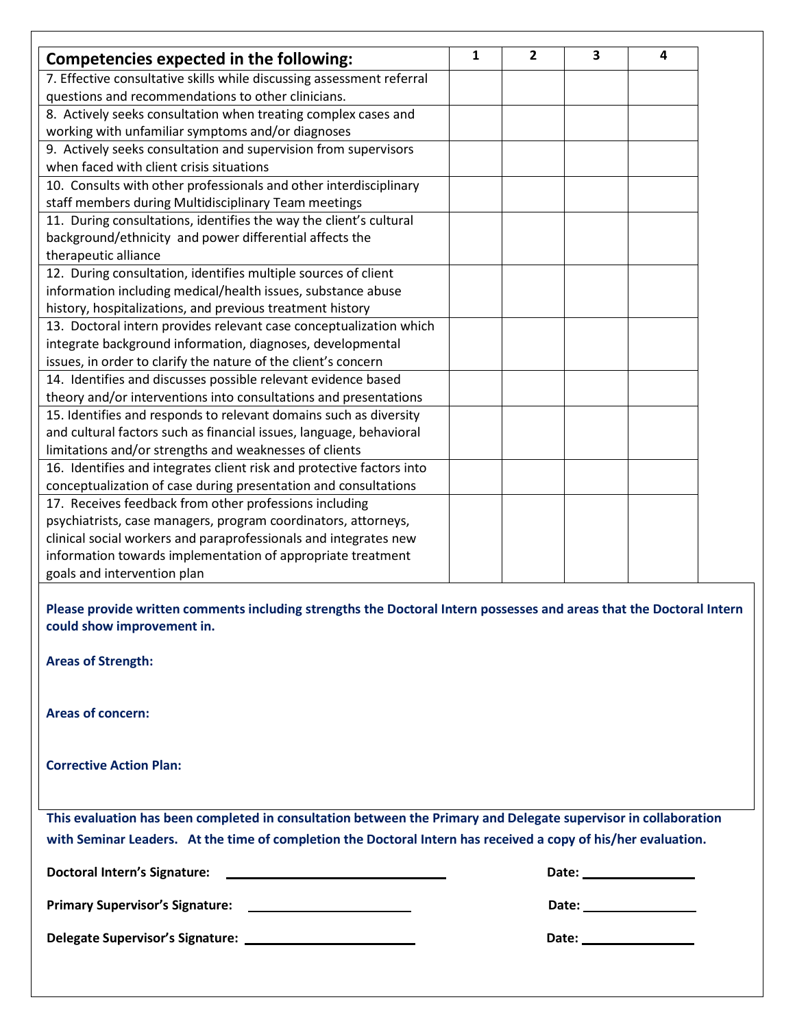| Competencies expected in the following:                               | 1 | $\overline{2}$ | 3 | 4 |
|-----------------------------------------------------------------------|---|----------------|---|---|
| 7. Effective consultative skills while discussing assessment referral |   |                |   |   |
| questions and recommendations to other clinicians.                    |   |                |   |   |
| 8. Actively seeks consultation when treating complex cases and        |   |                |   |   |
| working with unfamiliar symptoms and/or diagnoses                     |   |                |   |   |
| 9. Actively seeks consultation and supervision from supervisors       |   |                |   |   |
| when faced with client crisis situations                              |   |                |   |   |
| 10. Consults with other professionals and other interdisciplinary     |   |                |   |   |
| staff members during Multidisciplinary Team meetings                  |   |                |   |   |
| 11. During consultations, identifies the way the client's cultural    |   |                |   |   |
| background/ethnicity and power differential affects the               |   |                |   |   |
| therapeutic alliance                                                  |   |                |   |   |
| 12. During consultation, identifies multiple sources of client        |   |                |   |   |
| information including medical/health issues, substance abuse          |   |                |   |   |
| history, hospitalizations, and previous treatment history             |   |                |   |   |
| 13. Doctoral intern provides relevant case conceptualization which    |   |                |   |   |
| integrate background information, diagnoses, developmental            |   |                |   |   |
| issues, in order to clarify the nature of the client's concern        |   |                |   |   |
| 14. Identifies and discusses possible relevant evidence based         |   |                |   |   |
| theory and/or interventions into consultations and presentations      |   |                |   |   |
| 15. Identifies and responds to relevant domains such as diversity     |   |                |   |   |
| and cultural factors such as financial issues, language, behavioral   |   |                |   |   |
| limitations and/or strengths and weaknesses of clients                |   |                |   |   |
| 16. Identifies and integrates client risk and protective factors into |   |                |   |   |
| conceptualization of case during presentation and consultations       |   |                |   |   |
| 17. Receives feedback from other professions including                |   |                |   |   |
| psychiatrists, case managers, program coordinators, attorneys,        |   |                |   |   |
| clinical social workers and paraprofessionals and integrates new      |   |                |   |   |
| information towards implementation of appropriate treatment           |   |                |   |   |
| goals and intervention plan                                           |   |                |   |   |

**Areas of Strength:** 

**Areas of concern:** 

**Corrective Action Plan:**

**This evaluation has been completed in consultation between the Primary and Delegate supervisor in collaboration with Seminar Leaders. At the time of completion the Doctoral Intern has received a copy of his/her evaluation.**

**Doctoral Intern's Signature: Date:**

**Primary Supervisor's Signature:**  $\qquad \qquad$  **Date: Date: Date: Date: Date: Date: Date: Date: Date: Date: Date: Date: Date: Date: Date: Date: Date: Date: Date: Date: Date: Date: Da** 

**Delegate Supervisor's Signature:** 2008 2009 2009 2012 2020 2021 2022 2023 2024 2022 2023 2024 2022 2023 2024 2022 2023 2024 2022 2023 2024 2022 2023 2024 2022 2023 2024 2022 2023 2024 2022 2023 2024 2022 2023 2024 2023 20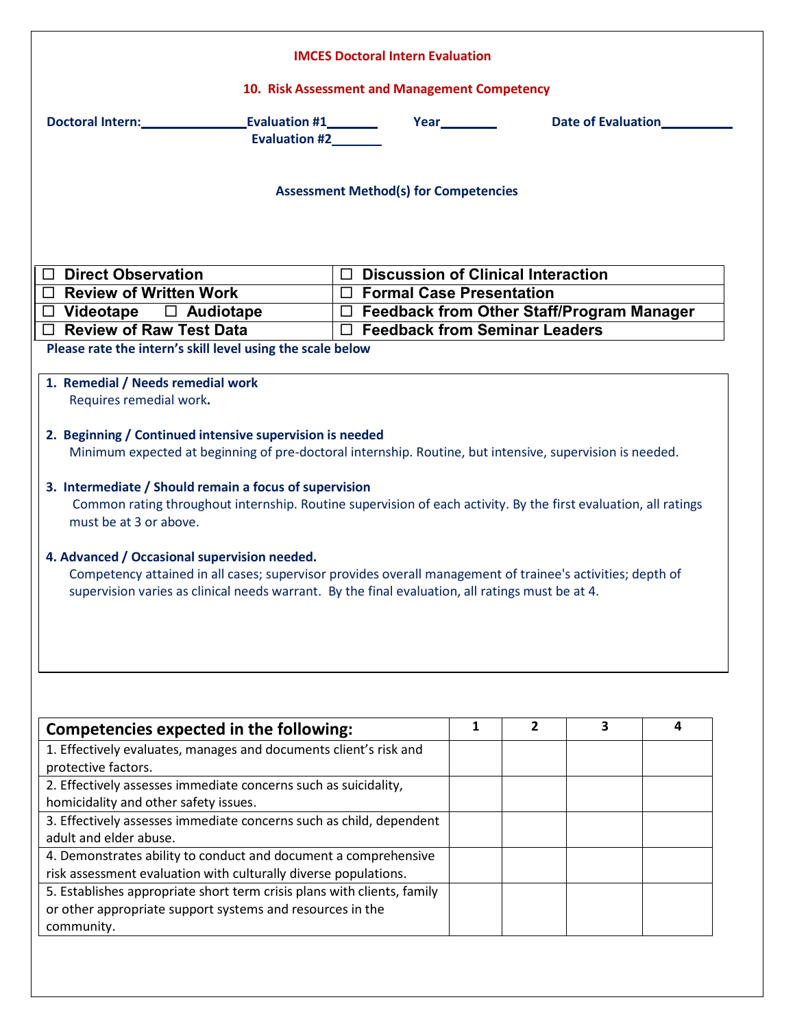|                                                                                                                 | <b>IMCES Doctoral Intern Evaluation</b>          |   |                |                           |   |
|-----------------------------------------------------------------------------------------------------------------|--------------------------------------------------|---|----------------|---------------------------|---|
| 10. Risk Assessment and Management Competency                                                                   |                                                  |   |                |                           |   |
| Doctoral Intern:<br><u>Doctoral Intern:</u>                                                                     |                                                  |   |                | <b>Date of Evaluation</b> |   |
| Evaluation #2________                                                                                           |                                                  |   |                |                           |   |
|                                                                                                                 | <b>Assessment Method(s) for Competencies</b>     |   |                |                           |   |
|                                                                                                                 |                                                  |   |                |                           |   |
|                                                                                                                 |                                                  |   |                |                           |   |
| □ Direct Observation                                                                                            | $\Box$ Discussion of Clinical Interaction        |   |                |                           |   |
| $\Box$ Review of Written Work                                                                                   | $\Box$ Formal Case Presentation                  |   |                |                           |   |
| $\Box$ Videotape $\Box$ Audiotape                                                                               | $\Box$ Feedback from Other Staff/Program Manager |   |                |                           |   |
| $\Box$ Review of Raw Test Data                                                                                  | $\Box$ Feedback from Seminar Leaders             |   |                |                           |   |
| Please rate the intern's skill level using the scale below                                                      |                                                  |   |                |                           |   |
|                                                                                                                 |                                                  |   |                |                           |   |
| 1. Remedial / Needs remedial work<br>Requires remedial work.                                                    |                                                  |   |                |                           |   |
|                                                                                                                 |                                                  |   |                |                           |   |
| 2. Beginning / Continued intensive supervision is needed                                                        |                                                  |   |                |                           |   |
| Minimum expected at beginning of pre-doctoral internship. Routine, but intensive, supervision is needed.        |                                                  |   |                |                           |   |
|                                                                                                                 |                                                  |   |                |                           |   |
| 3. Intermediate / Should remain a focus of supervision                                                          |                                                  |   |                |                           |   |
| Common rating throughout internship. Routine supervision of each activity. By the first evaluation, all ratings |                                                  |   |                |                           |   |
| must be at 3 or above.                                                                                          |                                                  |   |                |                           |   |
|                                                                                                                 |                                                  |   |                |                           |   |
| 4. Advanced / Occasional supervision needed.                                                                    |                                                  |   |                |                           |   |
| Competency attained in all cases; supervisor provides overall management of trainee's activities; depth of      |                                                  |   |                |                           |   |
| supervision varies as clinical needs warrant. By the final evaluation, all ratings must be at 4.                |                                                  |   |                |                           |   |
|                                                                                                                 |                                                  |   |                |                           |   |
|                                                                                                                 |                                                  |   |                |                           |   |
|                                                                                                                 |                                                  |   |                |                           |   |
|                                                                                                                 |                                                  |   |                |                           |   |
|                                                                                                                 |                                                  |   |                |                           |   |
|                                                                                                                 |                                                  |   |                |                           |   |
| Competencies expected in the following:                                                                         |                                                  | 1 | $\overline{2}$ | 3                         | 4 |
| 1. Effectively evaluates, manages and documents client's risk and                                               |                                                  |   |                |                           |   |
| protective factors.                                                                                             |                                                  |   |                |                           |   |
| 2. Effectively assesses immediate concerns such as suicidality,                                                 |                                                  |   |                |                           |   |
| homicidality and other safety issues.                                                                           |                                                  |   |                |                           |   |
| 3. Effectively assesses immediate concerns such as child, dependent                                             |                                                  |   |                |                           |   |
| adult and elder abuse.                                                                                          |                                                  |   |                |                           |   |
| 4. Demonstrates ability to conduct and document a comprehensive                                                 |                                                  |   |                |                           |   |
|                                                                                                                 |                                                  |   |                |                           |   |

| 4. Demonstrates ability to conduct and document a comprehensive         |  |  |
|-------------------------------------------------------------------------|--|--|
| risk assessment evaluation with culturally diverse populations.         |  |  |
| 5. Establishes appropriate short term crisis plans with clients, family |  |  |
| or other appropriate support systems and resources in the               |  |  |
| community.                                                              |  |  |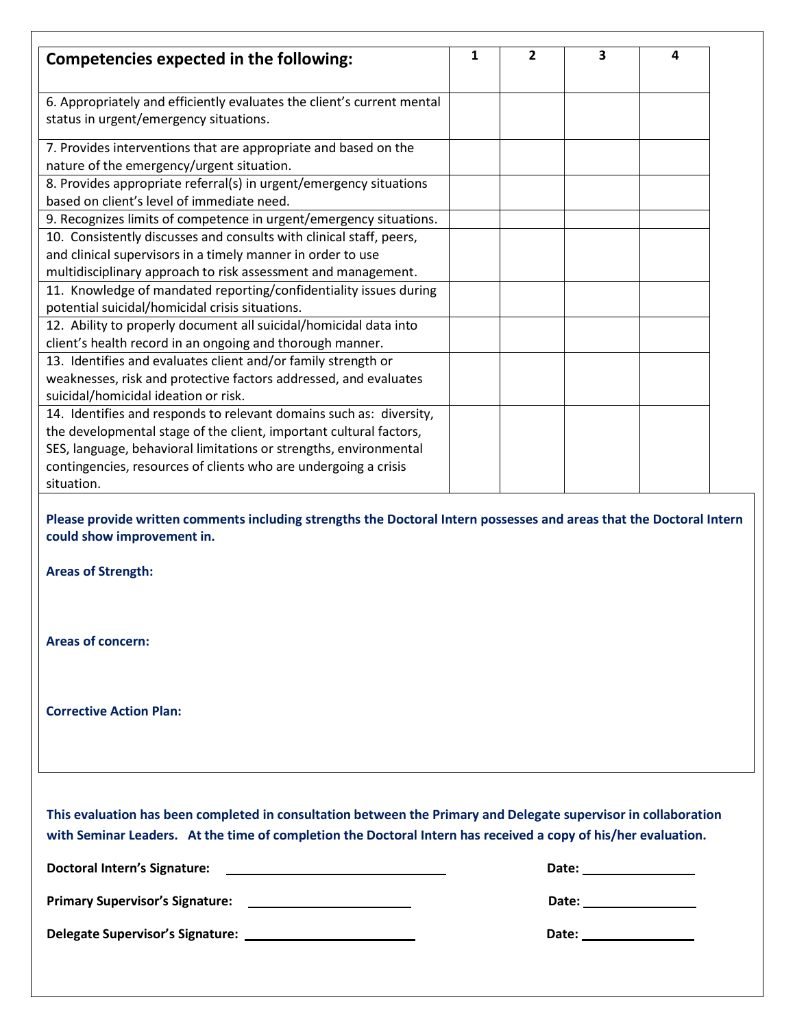| <b>Competencies expected in the following:</b>                                                                                                                                                                                                                           | 1 | $\overline{2}$ | З | 4 |  |
|--------------------------------------------------------------------------------------------------------------------------------------------------------------------------------------------------------------------------------------------------------------------------|---|----------------|---|---|--|
|                                                                                                                                                                                                                                                                          |   |                |   |   |  |
| 6. Appropriately and efficiently evaluates the client's current mental<br>status in urgent/emergency situations.                                                                                                                                                         |   |                |   |   |  |
| 7. Provides interventions that are appropriate and based on the                                                                                                                                                                                                          |   |                |   |   |  |
| nature of the emergency/urgent situation.                                                                                                                                                                                                                                |   |                |   |   |  |
| 8. Provides appropriate referral(s) in urgent/emergency situations                                                                                                                                                                                                       |   |                |   |   |  |
| based on client's level of immediate need.                                                                                                                                                                                                                               |   |                |   |   |  |
| 9. Recognizes limits of competence in urgent/emergency situations.                                                                                                                                                                                                       |   |                |   |   |  |
| 10. Consistently discusses and consults with clinical staff, peers,                                                                                                                                                                                                      |   |                |   |   |  |
| and clinical supervisors in a timely manner in order to use                                                                                                                                                                                                              |   |                |   |   |  |
| multidisciplinary approach to risk assessment and management.                                                                                                                                                                                                            |   |                |   |   |  |
| 11. Knowledge of mandated reporting/confidentiality issues during                                                                                                                                                                                                        |   |                |   |   |  |
| potential suicidal/homicidal crisis situations.                                                                                                                                                                                                                          |   |                |   |   |  |
| 12. Ability to properly document all suicidal/homicidal data into                                                                                                                                                                                                        |   |                |   |   |  |
| client's health record in an ongoing and thorough manner.                                                                                                                                                                                                                |   |                |   |   |  |
| 13. Identifies and evaluates client and/or family strength or                                                                                                                                                                                                            |   |                |   |   |  |
| weaknesses, risk and protective factors addressed, and evaluates                                                                                                                                                                                                         |   |                |   |   |  |
| suicidal/homicidal ideation or risk.                                                                                                                                                                                                                                     |   |                |   |   |  |
| 14. Identifies and responds to relevant domains such as: diversity,                                                                                                                                                                                                      |   |                |   |   |  |
| the developmental stage of the client, important cultural factors,                                                                                                                                                                                                       |   |                |   |   |  |
| SES, language, behavioral limitations or strengths, environmental                                                                                                                                                                                                        |   |                |   |   |  |
| contingencies, resources of clients who are undergoing a crisis                                                                                                                                                                                                          |   |                |   |   |  |
| situation.                                                                                                                                                                                                                                                               |   |                |   |   |  |
| could show improvement in.<br><b>Areas of Strength:</b><br><b>Areas of concern:</b><br><b>Corrective Action Plan:</b>                                                                                                                                                    |   |                |   |   |  |
| This evaluation has been completed in consultation between the Primary and Delegate supervisor in collaboration<br>with Seminar Leaders. At the time of completion the Doctoral Intern has received a copy of his/her evaluation.<br><b>Doctoral Intern's Signature:</b> |   |                |   |   |  |
|                                                                                                                                                                                                                                                                          |   |                |   |   |  |
|                                                                                                                                                                                                                                                                          |   |                |   |   |  |
|                                                                                                                                                                                                                                                                          |   |                |   |   |  |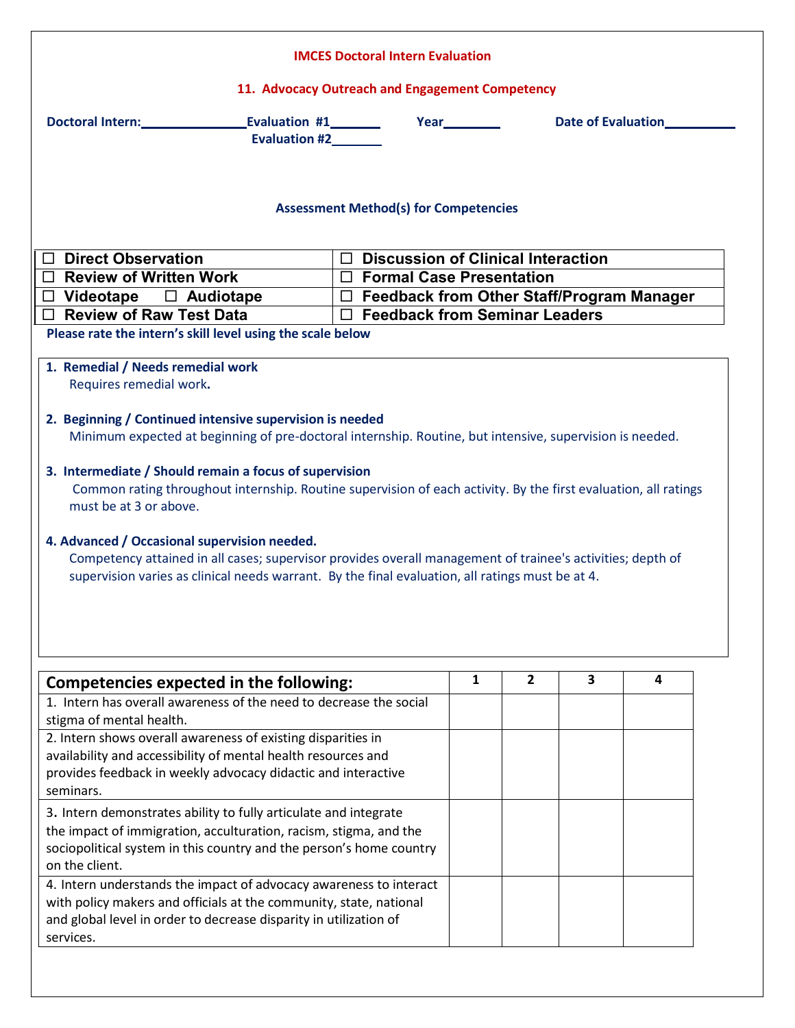|                                                                                                                                                                                                                                                                | <b>IMCES Doctoral Intern Evaluation</b>          |   |                |   |                           |  |
|----------------------------------------------------------------------------------------------------------------------------------------------------------------------------------------------------------------------------------------------------------------|--------------------------------------------------|---|----------------|---|---------------------------|--|
| 11. Advocacy Outreach and Engagement Competency                                                                                                                                                                                                                |                                                  |   |                |   |                           |  |
| Evaluation #1________<br>Doctoral Intern:<br><u>Doctoral Intern:</u><br>Evaluation #2________                                                                                                                                                                  |                                                  |   |                |   | <b>Date of Evaluation</b> |  |
|                                                                                                                                                                                                                                                                | <b>Assessment Method(s) for Competencies</b>     |   |                |   |                           |  |
| □ Direct Observation                                                                                                                                                                                                                                           | $\Box$ Discussion of Clinical Interaction        |   |                |   |                           |  |
| $\Box$ Review of Written Work                                                                                                                                                                                                                                  | $\Box$ Formal Case Presentation                  |   |                |   |                           |  |
| $\Box$ Videotape $\Box$ Audiotape                                                                                                                                                                                                                              | $\Box$ Feedback from Other Staff/Program Manager |   |                |   |                           |  |
| $\Box$ Review of Raw Test Data                                                                                                                                                                                                                                 | $\Box$ Feedback from Seminar Leaders             |   |                |   |                           |  |
| Please rate the intern's skill level using the scale below                                                                                                                                                                                                     |                                                  |   |                |   |                           |  |
| 1. Remedial / Needs remedial work<br>Requires remedial work.                                                                                                                                                                                                   |                                                  |   |                |   |                           |  |
| 2. Beginning / Continued intensive supervision is needed<br>Minimum expected at beginning of pre-doctoral internship. Routine, but intensive, supervision is needed.                                                                                           |                                                  |   |                |   |                           |  |
| 3. Intermediate / Should remain a focus of supervision<br>Common rating throughout internship. Routine supervision of each activity. By the first evaluation, all ratings<br>must be at 3 or above.                                                            |                                                  |   |                |   |                           |  |
| 4. Advanced / Occasional supervision needed.<br>Competency attained in all cases; supervisor provides overall management of trainee's activities; depth of<br>supervision varies as clinical needs warrant. By the final evaluation, all ratings must be at 4. |                                                  |   |                |   |                           |  |
|                                                                                                                                                                                                                                                                |                                                  |   |                |   |                           |  |
| Competencies expected in the following:                                                                                                                                                                                                                        |                                                  | 1 | $\overline{2}$ | 3 | 4                         |  |
| 1. Intern has overall awareness of the need to decrease the social                                                                                                                                                                                             |                                                  |   |                |   |                           |  |
| stigma of mental health.                                                                                                                                                                                                                                       |                                                  |   |                |   |                           |  |
| 2. Intern shows overall awareness of existing disparities in<br>availability and accessibility of mental health resources and                                                                                                                                  |                                                  |   |                |   |                           |  |
| provides feedback in weekly advocacy didactic and interactive                                                                                                                                                                                                  |                                                  |   |                |   |                           |  |
| seminars.                                                                                                                                                                                                                                                      |                                                  |   |                |   |                           |  |
| 3. Intern demonstrates ability to fully articulate and integrate                                                                                                                                                                                               |                                                  |   |                |   |                           |  |
| the impact of immigration, acculturation, racism, stigma, and the                                                                                                                                                                                              |                                                  |   |                |   |                           |  |
| sociopolitical system in this country and the person's home country<br>on the client.                                                                                                                                                                          |                                                  |   |                |   |                           |  |
| 4. Intern understands the impact of advocacy awareness to interact                                                                                                                                                                                             |                                                  |   |                |   |                           |  |
|                                                                                                                                                                                                                                                                |                                                  |   |                |   |                           |  |
|                                                                                                                                                                                                                                                                |                                                  |   |                |   |                           |  |
| with policy makers and officials at the community, state, national<br>and global level in order to decrease disparity in utilization of                                                                                                                        |                                                  |   |                |   |                           |  |